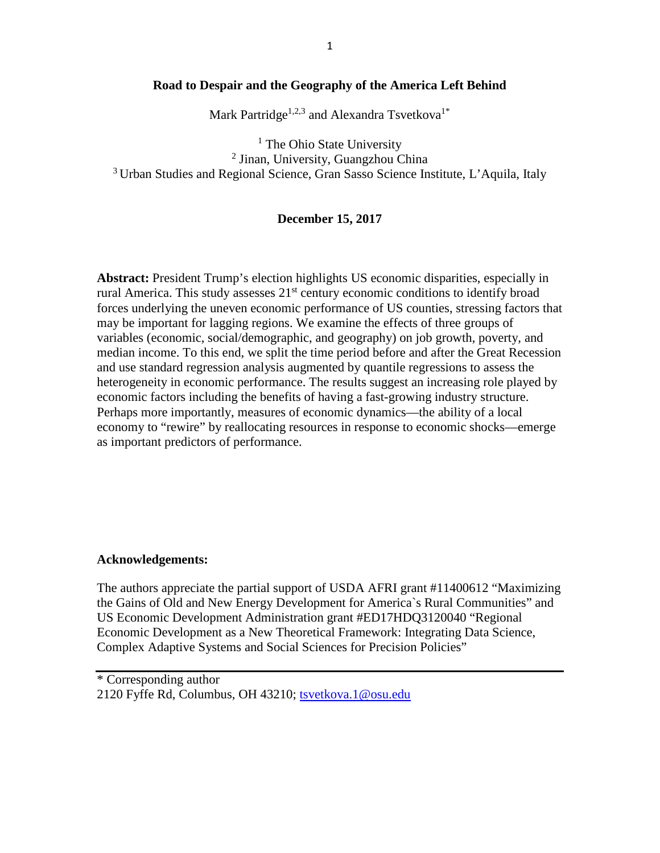# **Road to Despair and the Geography of the America Left Behind**

Mark Partridge<sup>1,2,3</sup> and Alexandra Tsvetkova<sup>1\*</sup>

<sup>1</sup> The Ohio State University <sup>2</sup> Jinan, University, Guangzhou China 3 Urban Studies and Regional Science, Gran Sasso Science Institute, L'Aquila, Italy

# **December 15, 2017**

**Abstract:** President Trump's election highlights US economic disparities, especially in rural America. This study assesses 21<sup>st</sup> century economic conditions to identify broad forces underlying the uneven economic performance of US counties, stressing factors that may be important for lagging regions. We examine the effects of three groups of variables (economic, social/demographic, and geography) on job growth, poverty, and median income. To this end, we split the time period before and after the Great Recession and use standard regression analysis augmented by quantile regressions to assess the heterogeneity in economic performance. The results suggest an increasing role played by economic factors including the benefits of having a fast-growing industry structure. Perhaps more importantly, measures of economic dynamics—the ability of a local economy to "rewire" by reallocating resources in response to economic shocks—emerge as important predictors of performance.

## **Acknowledgements:**

The authors appreciate the partial support of USDA AFRI grant #11400612 "Maximizing the Gains of Old and New Energy Development for America`s Rural Communities" and US Economic Development Administration grant #ED17HDQ3120040 "Regional Economic Development as a New Theoretical Framework: Integrating Data Science, Complex Adaptive Systems and Social Sciences for Precision Policies"

\* Corresponding author 2120 Fyffe Rd, Columbus, OH 43210; [tsvetkova.1@osu.edu](mailto:tsvetkova.1@osu.edu)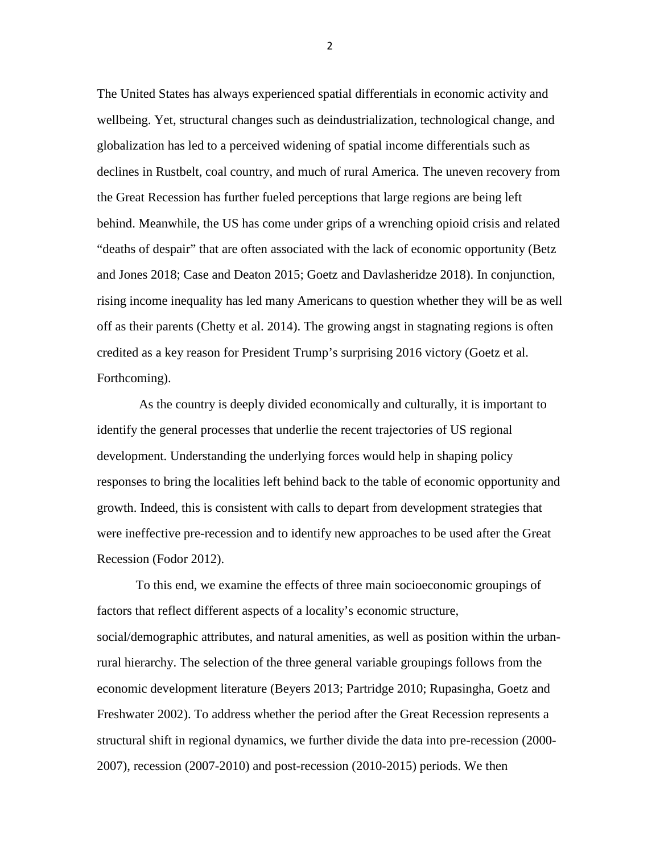The United States has always experienced spatial differentials in economic activity and wellbeing. Yet, structural changes such as deindustrialization, technological change, and globalization has led to a perceived widening of spatial income differentials such as declines in Rustbelt, coal country, and much of rural America. The uneven recovery from the Great Recession has further fueled perceptions that large regions are being left behind. Meanwhile, the US has come under grips of a wrenching opioid crisis and related "deaths of despair" that are often associated with the lack of economic opportunity (Betz and Jones 2018; Case and Deaton 2015; Goetz and Davlasheridze 2018). In conjunction, rising income inequality has led many Americans to question whether they will be as well off as their parents (Chetty et al. 2014). The growing angst in stagnating regions is often credited as a key reason for President Trump's surprising 2016 victory (Goetz et al. Forthcoming).

As the country is deeply divided economically and culturally, it is important to identify the general processes that underlie the recent trajectories of US regional development. Understanding the underlying forces would help in shaping policy responses to bring the localities left behind back to the table of economic opportunity and growth. Indeed, this is consistent with calls to depart from development strategies that were ineffective pre-recession and to identify new approaches to be used after the Great Recession (Fodor 2012).

To this end, we examine the effects of three main socioeconomic groupings of factors that reflect different aspects of a locality's economic structure, social/demographic attributes, and natural amenities, as well as position within the urbanrural hierarchy. The selection of the three general variable groupings follows from the economic development literature (Beyers 2013; Partridge 2010; Rupasingha, Goetz and Freshwater 2002). To address whether the period after the Great Recession represents a structural shift in regional dynamics, we further divide the data into pre-recession (2000- 2007), recession (2007-2010) and post-recession (2010-2015) periods. We then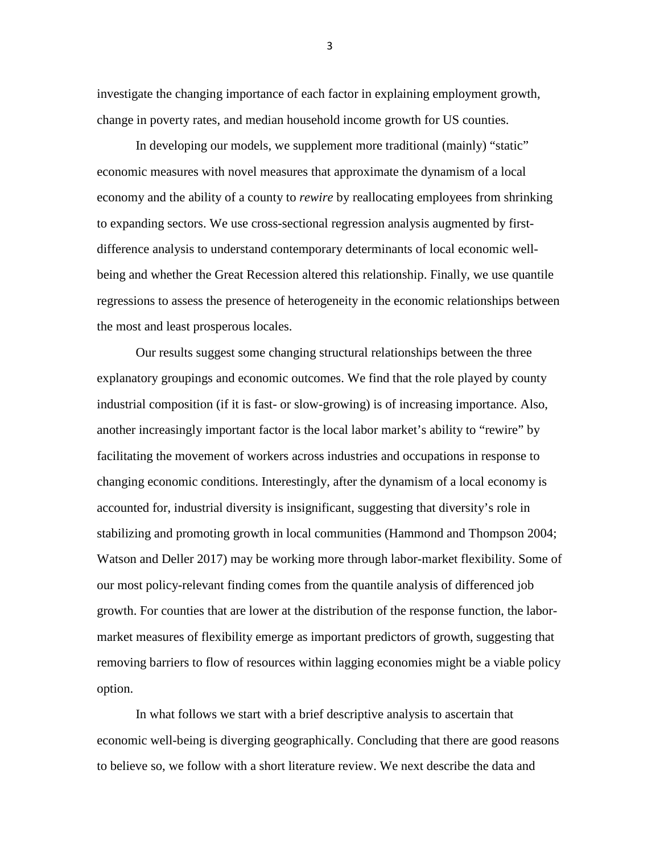investigate the changing importance of each factor in explaining employment growth, change in poverty rates, and median household income growth for US counties.

In developing our models, we supplement more traditional (mainly) "static" economic measures with novel measures that approximate the dynamism of a local economy and the ability of a county to *rewire* by reallocating employees from shrinking to expanding sectors. We use cross-sectional regression analysis augmented by firstdifference analysis to understand contemporary determinants of local economic wellbeing and whether the Great Recession altered this relationship. Finally, we use quantile regressions to assess the presence of heterogeneity in the economic relationships between the most and least prosperous locales.

Our results suggest some changing structural relationships between the three explanatory groupings and economic outcomes. We find that the role played by county industrial composition (if it is fast- or slow-growing) is of increasing importance. Also, another increasingly important factor is the local labor market's ability to "rewire" by facilitating the movement of workers across industries and occupations in response to changing economic conditions. Interestingly, after the dynamism of a local economy is accounted for, industrial diversity is insignificant, suggesting that diversity's role in stabilizing and promoting growth in local communities (Hammond and Thompson 2004; Watson and Deller 2017) may be working more through labor-market flexibility. Some of our most policy-relevant finding comes from the quantile analysis of differenced job growth. For counties that are lower at the distribution of the response function, the labormarket measures of flexibility emerge as important predictors of growth, suggesting that removing barriers to flow of resources within lagging economies might be a viable policy option.

In what follows we start with a brief descriptive analysis to ascertain that economic well-being is diverging geographically. Concluding that there are good reasons to believe so, we follow with a short literature review. We next describe the data and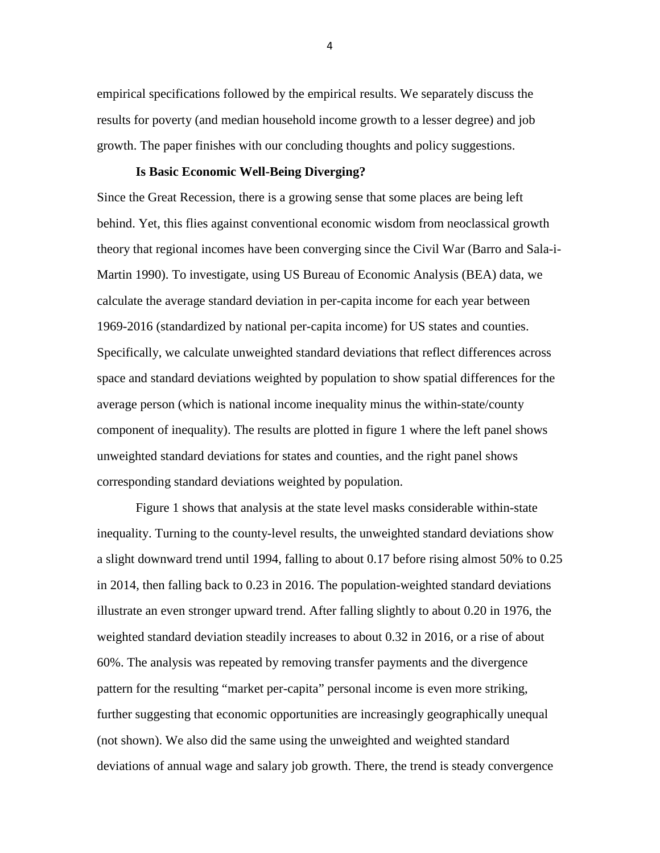empirical specifications followed by the empirical results. We separately discuss the results for poverty (and median household income growth to a lesser degree) and job growth. The paper finishes with our concluding thoughts and policy suggestions.

## **Is Basic Economic Well-Being Diverging?**

Since the Great Recession, there is a growing sense that some places are being left behind. Yet, this flies against conventional economic wisdom from neoclassical growth theory that regional incomes have been converging since the Civil War (Barro and Sala-i-Martin 1990). To investigate, using US Bureau of Economic Analysis (BEA) data, we calculate the average standard deviation in per-capita income for each year between 1969-2016 (standardized by national per-capita income) for US states and counties. Specifically, we calculate unweighted standard deviations that reflect differences across space and standard deviations weighted by population to show spatial differences for the average person (which is national income inequality minus the within-state/county component of inequality). The results are plotted in figure 1 where the left panel shows unweighted standard deviations for states and counties, and the right panel shows corresponding standard deviations weighted by population.

Figure 1 shows that analysis at the state level masks considerable within-state inequality. Turning to the county-level results, the unweighted standard deviations show a slight downward trend until 1994, falling to about 0.17 before rising almost 50% to 0.25 in 2014, then falling back to 0.23 in 2016. The population-weighted standard deviations illustrate an even stronger upward trend. After falling slightly to about 0.20 in 1976, the weighted standard deviation steadily increases to about 0.32 in 2016, or a rise of about 60%. The analysis was repeated by removing transfer payments and the divergence pattern for the resulting "market per-capita" personal income is even more striking, further suggesting that economic opportunities are increasingly geographically unequal (not shown). We also did the same using the unweighted and weighted standard deviations of annual wage and salary job growth. There, the trend is steady convergence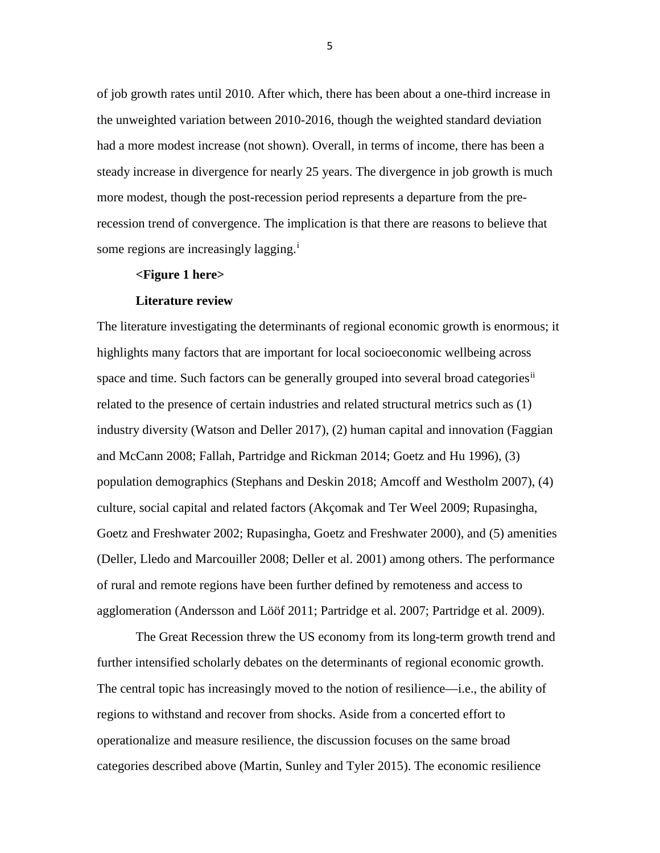of job growth rates until 2010. After which, there has been about a one-third increase in the unweighted variation between 2010-2016, though the weighted standard deviation had a more modest increase (not shown). Overall, in terms of income, there has been a steady increase in divergence for nearly 25 years. The divergence in job growth is much more modest, though the post-recession period represents a departure from the prerecession trend of convergence. The implication is that there are reasons to believe that some reg[i](#page-5-0)ons are increasingly lagging.<sup>1</sup>

#### **<Figure 1 here>**

#### **Literature review**

The literature investigating the determinants of regional economic growth is enormous; it highlights many factors that are important for local socioeconomic wellbeing across space and time. Such factors can be generally grouped into several broad categories<sup>[ii](#page-5-1)</sup> related to the presence of certain industries and related structural metrics such as (1) industry diversity (Watson and Deller 2017), (2) human capital and innovation (Faggian and McCann 2008; Fallah, Partridge and Rickman 2014; Goetz and Hu 1996), (3) population demographics (Stephans and Deskin 2018; Amcoff and Westholm 2007), (4) culture, social capital and related factors (Akçomak and Ter Weel 2009; Rupasingha, Goetz and Freshwater 2002; Rupasingha, Goetz and Freshwater 2000), and (5) amenities (Deller, Lledo and Marcouiller 2008; Deller et al. 2001) among others. The performance of rural and remote regions have been further defined by remoteness and access to agglomeration (Andersson and Lööf 2011; Partridge et al. 2007; Partridge et al. 2009).

The Great Recession threw the US economy from its long-term growth trend and further intensified scholarly debates on the determinants of regional economic growth. The central topic has increasingly moved to the notion of resilience—i.e., the ability of regions to withstand and recover from shocks. Aside from a concerted effort to operationalize and measure resilience, the discussion focuses on the same broad categories described above (Martin, Sunley and Tyler 2015). The economic resilience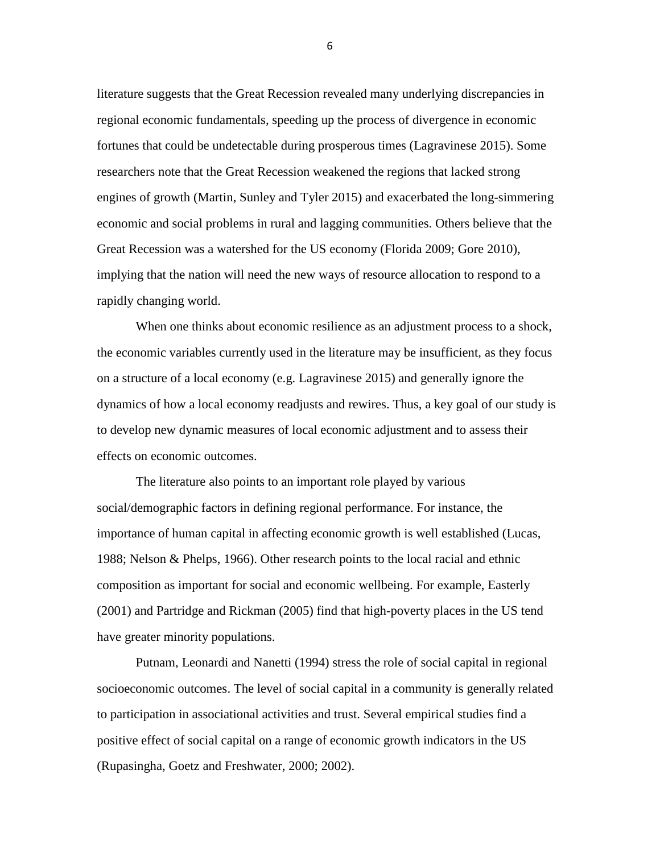<span id="page-5-1"></span><span id="page-5-0"></span>literature suggests that the Great Recession revealed many underlying discrepancies in regional economic fundamentals, speeding up the process of divergence in economic fortunes that could be undetectable during prosperous times (Lagravinese 2015). Some researchers note that the Great Recession weakened the regions that lacked strong engines of growth (Martin, Sunley and Tyler 2015) and exacerbated the long-simmering economic and social problems in rural and lagging communities. Others believe that the Great Recession was a watershed for the US economy (Florida 2009; Gore 2010), implying that the nation will need the new ways of resource allocation to respond to a rapidly changing world.

<span id="page-5-3"></span><span id="page-5-2"></span>When one thinks about economic resilience as an adjustment process to a shock, the economic variables currently used in the literature may be insufficient, as they focus on a structure of a local economy (e.g. Lagravinese 2015) and generally ignore the dynamics of how a local economy readjusts and rewires. Thus, a key goal of our study is to develop new dynamic measures of local economic adjustment and to assess their effects on economic outcomes.

<span id="page-5-4"></span>The literature also points to an important role played by various social/demographic factors in defining regional performance. For instance, the importance of human capital in affecting economic growth is well established (Lucas, 1988; Nelson & Phelps, 1966). Other research points to the local racial and ethnic composition as important for social and economic wellbeing. For example, Easterly (2001) and Partridge and Rickman (2005) find that high-poverty places in the US tend have greater minority populations.

<span id="page-5-5"></span>Putnam, Leonardi and Nanetti (1994) stress the role of social capital in regional socioeconomic outcomes. The level of social capital in a community is generally related to participation in associational activities and trust. Several empirical studies find a positive effect of social capital on a range of economic growth indicators in the US (Rupasingha, Goetz and Freshwater, 2000; 2002).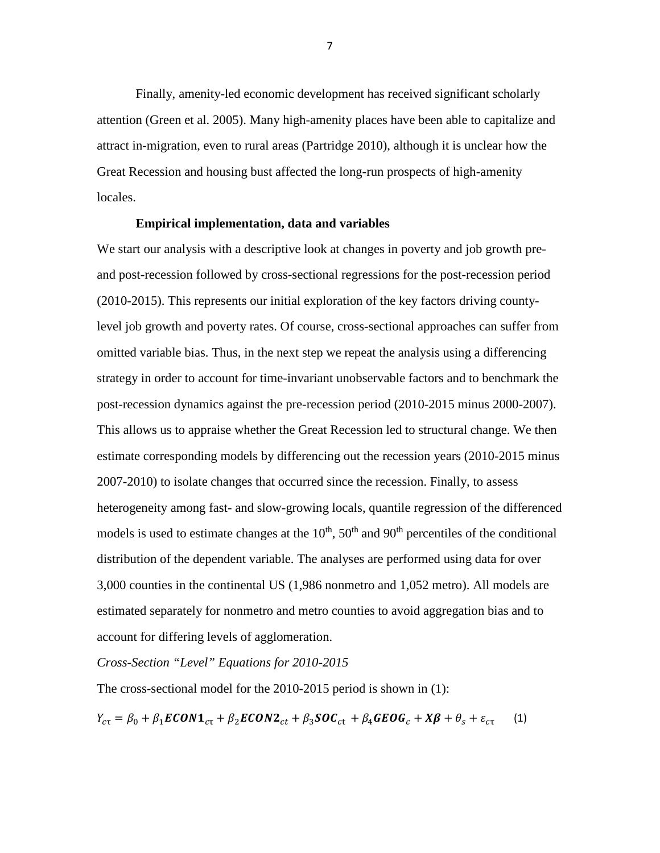<span id="page-6-0"></span>Finally, amenity-led economic development has received significant scholarly attention (Green et al. 2005). Many high-amenity places have been able to capitalize and attract in-migration, even to rural areas (Partridge 2010), although it is unclear how the Great Recession and housing bust affected the long-run prospects of high-amenity locales.

#### **Empirical implementation, data and variables**

<span id="page-6-1"></span>We start our analysis with a descriptive look at changes in poverty and job growth preand post-recession followed by cross-sectional regressions for the post-recession period (2010-2015). This represents our initial exploration of the key factors driving countylevel job growth and poverty rates. Of course, cross-sectional approaches can suffer from omitted variable bias. Thus, in the next step we repeat the analysis using a differencing strategy in order to account for time-invariant unobservable factors and to benchmark the post-recession dynamics against the pre-recession period (2010-2015 minus 2000-2007). This allows us to appraise whether the Great Recession led to structural change. We then estimate corresponding models by differencing out the recession years (2010-2015 minus 2007-2010) to isolate changes that occurred since the recession. Finally, to assess heterogeneity among fast- and slow-growing locals, quantile regression of the differenced models is used to estimate changes at the  $10<sup>th</sup>$ ,  $50<sup>th</sup>$  and  $90<sup>th</sup>$  percentiles of the conditional distribution of the dependent variable. The analyses are performed using data for over 3,000 counties in the continental US (1,986 nonmetro and 1,052 metro). All models are estimated separately for nonmetro and metro counties to avoid aggregation bias and to account for differing levels of agglomeration.

## <span id="page-6-2"></span>*Cross-Section "Level" Equations for 2010-2015*

The cross-sectional model for the 2010-2015 period is shown in (1):

$$
Y_{c\tau} = \beta_0 + \beta_1 \mathbf{ECON1}_{c\tau} + \beta_2 \mathbf{ECON2}_{ct} + \beta_3 \mathbf{SOC}_{ct} + \beta_4 \mathbf{GEOG}_c + X\mathbf{\beta} + \theta_s + \varepsilon_{c\tau}
$$
 (1)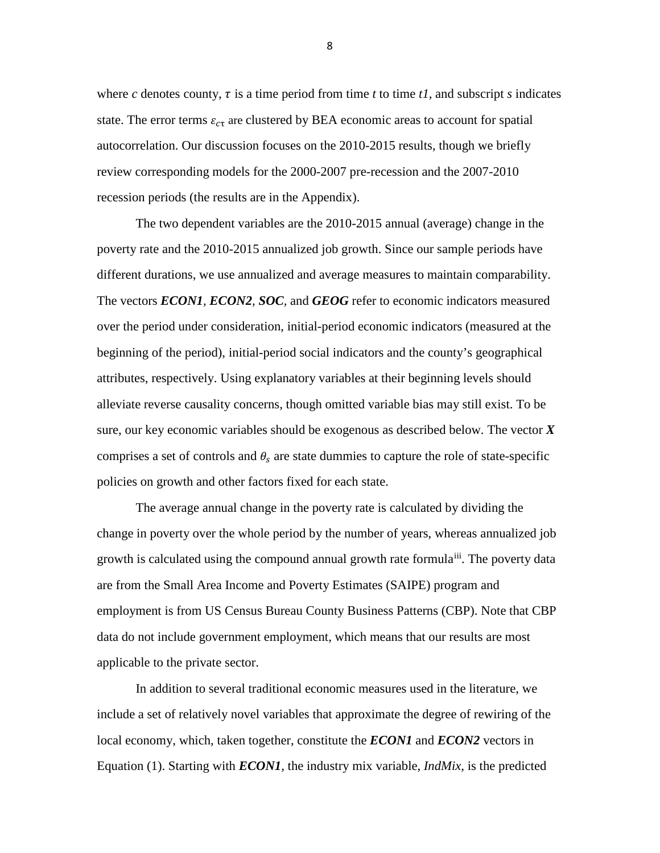where *c* denotes county,  $\tau$  is a time period from time *t* to time *t1*, and subscript *s* indicates state. The error terms  $\varepsilon_{c\tau}$  are clustered by BEA economic areas to account for spatial autocorrelation. Our discussion focuses on the 2010-2015 results, though we briefly review corresponding models for the 2000-2007 pre-recession and the 2007-2010 recession periods (the results are in the Appendix).

The two dependent variables are the 2010-2015 annual (average) change in the poverty rate and the 2010-2015 annualized job growth. Since our sample periods have different durations, we use annualized and average measures to maintain comparability. The vectors *ECON1, ECON2, SOC,* and *GEOG* refer to economic indicators measured over the period under consideration, initial-period economic indicators (measured at the beginning of the period), initial-period social indicators and the county's geographical attributes, respectively. Using explanatory variables at their beginning levels should alleviate reverse causality concerns, though omitted variable bias may still exist. To be sure, our key economic variables should be exogenous as described below. The vector *X* comprises a set of controls and  $\theta_s$  are state dummies to capture the role of state-specific policies on growth and other factors fixed for each state.

The average annual change in the poverty rate is calculated by dividing the change in poverty over the whole period by the number of years, whereas annualized job growth is calculated using the compound annual growth rate formula<sup>[iii](#page-5-2)</sup>. The poverty data are from the Small Area Income and Poverty Estimates (SAIPE) program and employment is from US Census Bureau County Business Patterns (CBP). Note that CBP data do not include government employment, which means that our results are most applicable to the private sector.

In addition to several traditional economic measures used in the literature, we include a set of relatively novel variables that approximate the degree of rewiring of the local economy, which, taken together, constitute the *ECON1* and *ECON2* vectors in Equation (1). Starting with *ECON1,* the industry mix variable, *IndMix*, is the predicted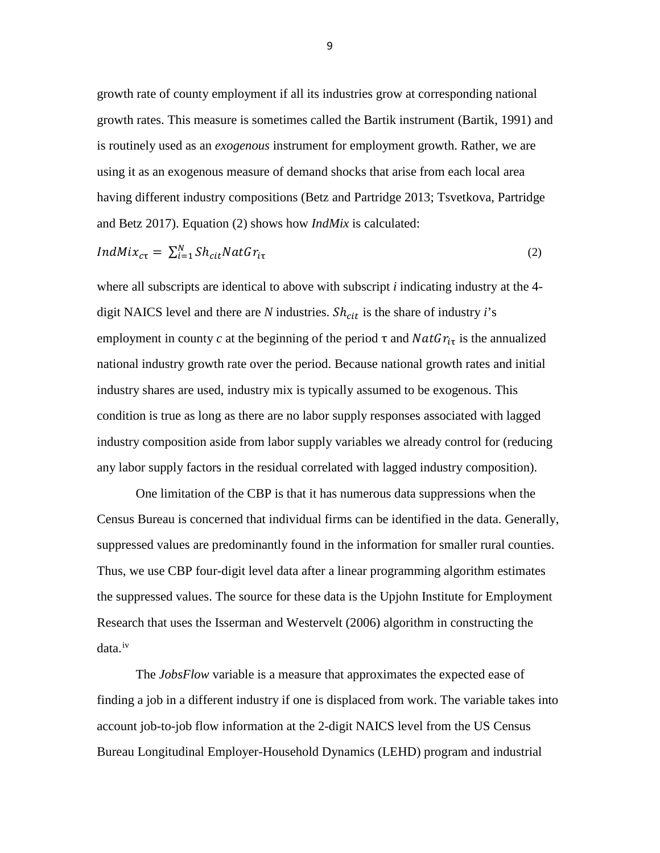growth rate of county employment if all its industries grow at corresponding national growth rates. This measure is sometimes called the Bartik instrument (Bartik, 1991) and is routinely used as an *exogenous* instrument for employment growth. Rather, we are using it as an exogenous measure of demand shocks that arise from each local area having different industry compositions (Betz and Partridge 2013; Tsvetkova, Partridge and Betz 2017). Equation (2) shows how *IndMix* is calculated:

$$
IndMix_{c\tau} = \sum_{i=1}^{N} Sh_{cit}NatGr_{i\tau}
$$
 (2)

where all subscripts are identical to above with subscript *i* indicating industry at the 4 digit NAICS level and there are *N* industries.  $Sh<sub>cit</sub>$  is the share of industry *i*'s employment in county *c* at the beginning of the period  $\tau$  and  $NatGr_{i\tau}$  is the annualized national industry growth rate over the period. Because national growth rates and initial industry shares are used, industry mix is typically assumed to be exogenous. This condition is true as long as there are no labor supply responses associated with lagged industry composition aside from labor supply variables we already control for (reducing any labor supply factors in the residual correlated with lagged industry composition).

One limitation of the CBP is that it has numerous data suppressions when the Census Bureau is concerned that individual firms can be identified in the data. Generally, suppressed values are predominantly found in the information for smaller rural counties. Thus, we use CBP four-digit level data after a linear programming algorithm estimates the suppressed values. The source for these data is the Upjohn Institute for Employment Research that uses the Isserman and Westervelt (2006) algorithm in constructing the data.[iv](#page-5-3)

The *JobsFlow* variable is a measure that approximates the expected ease of finding a job in a different industry if one is displaced from work. The variable takes into account job-to-job flow information at the 2-digit NAICS level from the US Census Bureau Longitudinal Employer-Household Dynamics (LEHD) program and industrial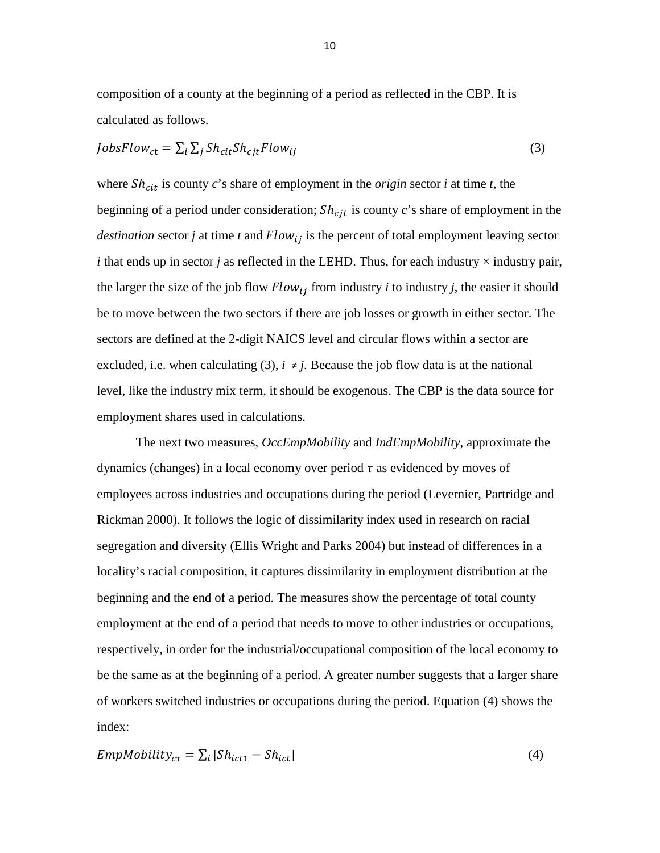composition of a county at the beginning of a period as reflected in the CBP. It is calculated as follows.

$$
JobsFlow_{ct} = \sum_{i} \sum_{j} Sh_{cit}Sh_{cjt}Flow_{ij}
$$
 (3)

where  $Sh<sub>cit</sub>$  is county *c*'s share of employment in the *origin* sector *i* at time *t*, the beginning of a period under consideration;  $Sh<sub>cjt</sub>$  is county  $c$ 's share of employment in the *destination* sector *j* at time *t* and  $Flow_{ij}$  is the percent of total employment leaving sector *i* that ends up in sector *j* as reflected in the LEHD. Thus, for each industry  $\times$  industry pair, the larger the size of the job flow  $Flow_{ij}$  from industry *i* to industry *j*, the easier it should be to move between the two sectors if there are job losses or growth in either sector. The sectors are defined at the 2-digit NAICS level and circular flows within a sector are excluded, i.e. when calculating (3),  $i \neq j$ . Because the job flow data is at the national level, like the industry mix term, it should be exogenous. The CBP is the data source for employment shares used in calculations.

The next two measures, *OccEmpMobility* and *IndEmpMobility*, approximate the dynamics (changes) in a local economy over period  $\tau$  as evidenced by moves of employees across industries and occupations during the period (Levernier, Partridge and Rickman 2000). It follows the logic of dissimilarity index used in research on racial segregation and diversity (Ellis Wright and Parks 2004) but instead of differences in a locality's racial composition, it captures dissimilarity in employment distribution at the beginning and the end of a period. The measures show the percentage of total county employment at the end of a period that needs to move to other industries or occupations, respectively, in order for the industrial/occupational composition of the local economy to be the same as at the beginning of a period. A greater number suggests that a larger share of workers switched industries or occupations during the period. Equation (4) shows the index:

$$
EmpMobility_{c\tau} = \sum_{i} |Sh_{ict1} - Sh_{ict}|
$$
\n(4)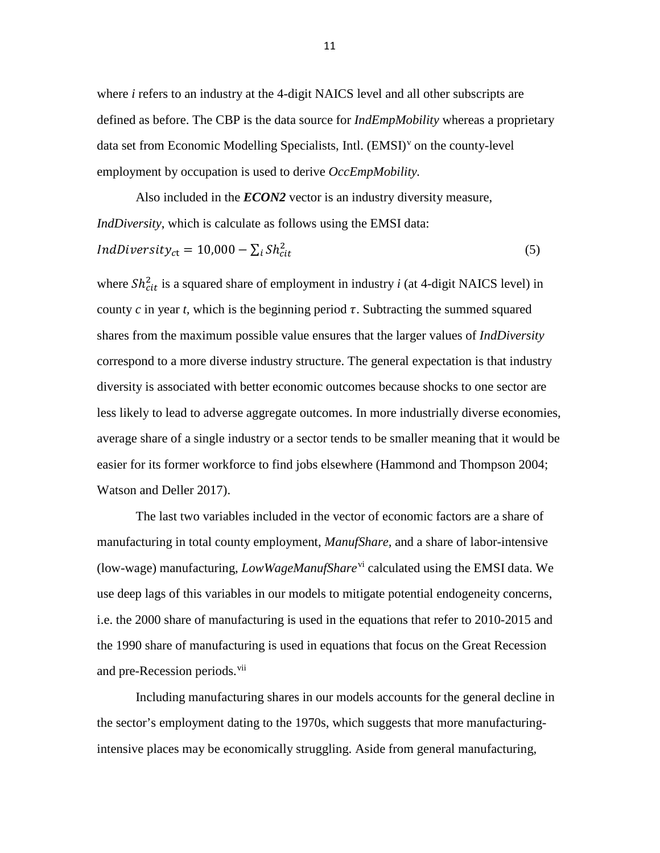where *i* refers to an industry at the 4-digit NAICS level and all other subscripts are defined as before. The CBP is the data source for *IndEmpMobility* whereas a proprietary data set from Economic Modelling Specialists, Intl. (EMSI)<sup>[v](#page-5-4)</sup> on the county-level employment by occupation is used to derive *OccEmpMobility.*

Also included in the *ECON2* vector is an industry diversity measure, *IndDiversity*, which is calculate as follows using the EMSI data:

$$
IndDiversity_{ct} = 10,000 - \sum_{i} Sh_{cit}^{2}
$$
\n
$$
(5)
$$

where  $Sh_{cit}^2$  is a squared share of employment in industry *i* (at 4-digit NAICS level) in county  $c$  in year  $t$ , which is the beginning period  $\tau$ . Subtracting the summed squared shares from the maximum possible value ensures that the larger values of *IndDiversity* correspond to a more diverse industry structure. The general expectation is that industry diversity is associated with better economic outcomes because shocks to one sector are less likely to lead to adverse aggregate outcomes. In more industrially diverse economies, average share of a single industry or a sector tends to be smaller meaning that it would be easier for its former workforce to find jobs elsewhere (Hammond and Thompson 2004; Watson and Deller 2017).

The last two variables included in the vector of economic factors are a share of manufacturing in total county employment, *ManufShare,* and a share of labor-intensive (low-wage) manufacturing, *LowWageManufShare*[vi](#page-5-5) calculated using the EMSI data. We use deep lags of this variables in our models to mitigate potential endogeneity concerns, i.e. the 2000 share of manufacturing is used in the equations that refer to 2010-2015 and the 1990 share of manufacturing is used in equations that focus on the Great Recession and pre-Recession periods.<sup>[vii](#page-6-0)</sup>

Including manufacturing shares in our models accounts for the general decline in the sector's employment dating to the 1970s, which suggests that more manufacturingintensive places may be economically struggling. Aside from general manufacturing,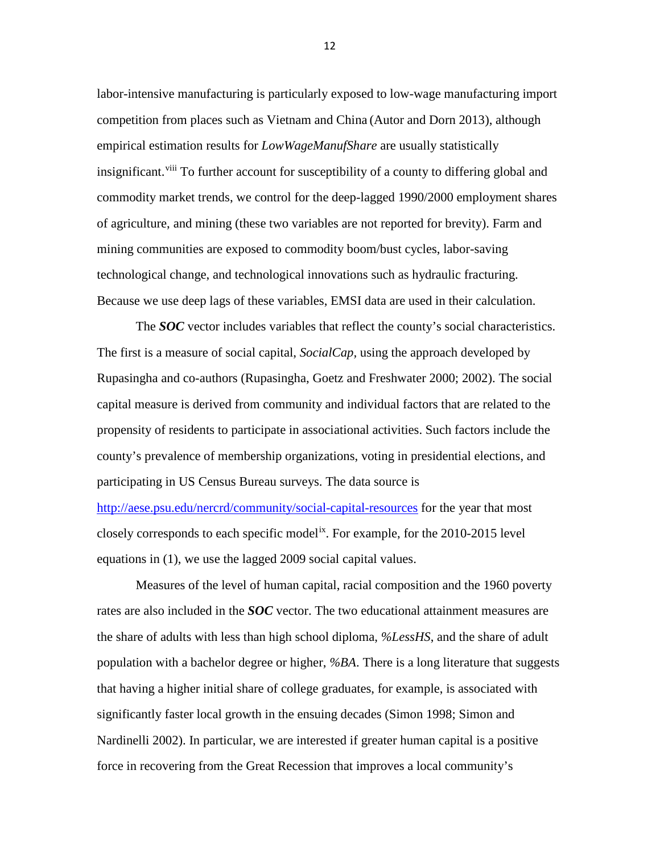labor-intensive manufacturing is particularly exposed to low-wage manufacturing import competition from places such as Vietnam and China (Autor and Dorn 2013), although empirical estimation results for *LowWageManufShare* are usually statistically insignificant.<sup>[viii](#page-6-1)</sup> To further account for susceptibility of a county to differing global and commodity market trends, we control for the deep-lagged 1990/2000 employment shares of agriculture, and mining (these two variables are not reported for brevity). Farm and mining communities are exposed to commodity boom/bust cycles, labor-saving technological change, and technological innovations such as hydraulic fracturing. Because we use deep lags of these variables, EMSI data are used in their calculation.

The *SOC* vector includes variables that reflect the county's social characteristics. The first is a measure of social capital, *SocialCap,* using the approach developed by Rupasingha and co-authors (Rupasingha, Goetz and Freshwater 2000; 2002). The social capital measure is derived from community and individual factors that are related to the propensity of residents to participate in associational activities. Such factors include the county's prevalence of membership organizations, voting in presidential elections, and participating in US Census Bureau surveys. The data source is <http://aese.psu.edu/nercrd/community/social-capital-resources> for the year that most closely corresponds to each specific model[ix.](#page-6-2) For example, for the 2010-2015 level

equations in (1), we use the lagged 2009 social capital values.

Measures of the level of human capital, racial composition and the 1960 poverty rates are also included in the *SOC* vector. The two educational attainment measures are the share of adults with less than high school diploma, *%LessHS*, and the share of adult population with a bachelor degree or higher, *%BA*. There is a long literature that suggests that having a higher initial share of college graduates, for example, is associated with significantly faster local growth in the ensuing decades (Simon 1998; Simon and Nardinelli 2002). In particular, we are interested if greater human capital is a positive force in recovering from the Great Recession that improves a local community's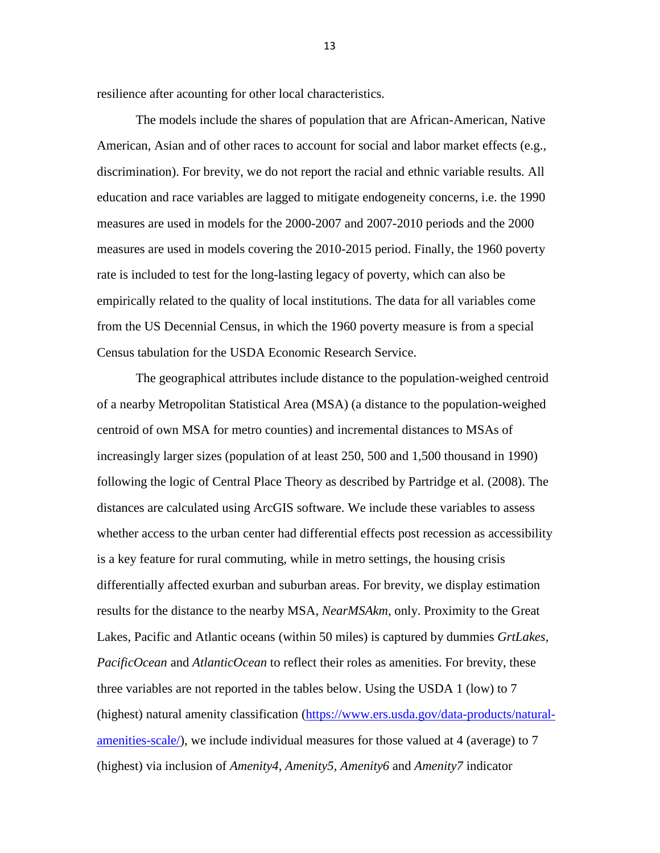resilience after acounting for other local characteristics.

The models include the shares of population that are African-American, Native American, Asian and of other races to account for social and labor market effects (e.g., discrimination). For brevity, we do not report the racial and ethnic variable results*.* All education and race variables are lagged to mitigate endogeneity concerns, i.e. the 1990 measures are used in models for the 2000-2007 and 2007-2010 periods and the 2000 measures are used in models covering the 2010-2015 period. Finally, the 1960 poverty rate is included to test for the long-lasting legacy of poverty, which can also be empirically related to the quality of local institutions. The data for all variables come from the US Decennial Census, in which the 1960 poverty measure is from a special Census tabulation for the USDA Economic Research Service.

The geographical attributes include distance to the population-weighed centroid of a nearby Metropolitan Statistical Area (MSA) (a distance to the population-weighed centroid of own MSA for metro counties) and incremental distances to MSAs of increasingly larger sizes (population of at least 250, 500 and 1,500 thousand in 1990) following the logic of Central Place Theory as described by Partridge et al. (2008). The distances are calculated using ArcGIS software. We include these variables to assess whether access to the urban center had differential effects post recession as accessibility is a key feature for rural commuting, while in metro settings, the housing crisis differentially affected exurban and suburban areas. For brevity, we display estimation results for the distance to the nearby MSA, *NearMSAkm*, only. Proximity to the Great Lakes, Pacific and Atlantic oceans (within 50 miles) is captured by dummies *GrtLakes, PacificOcean* and *AtlanticOcean* to reflect their roles as amenities. For brevity, these three variables are not reported in the tables below. Using the USDA 1 (low) to 7 (highest) natural amenity classification [\(https://www.ers.usda.gov/data-products/natural](https://www.ers.usda.gov/data-products/natural-amenities-scale/)[amenities-scale/\)](https://www.ers.usda.gov/data-products/natural-amenities-scale/), we include individual measures for those valued at 4 (average) to 7 (highest) via inclusion of *Amenity4, Amenity5, Amenity6* and *Amenity7* indicator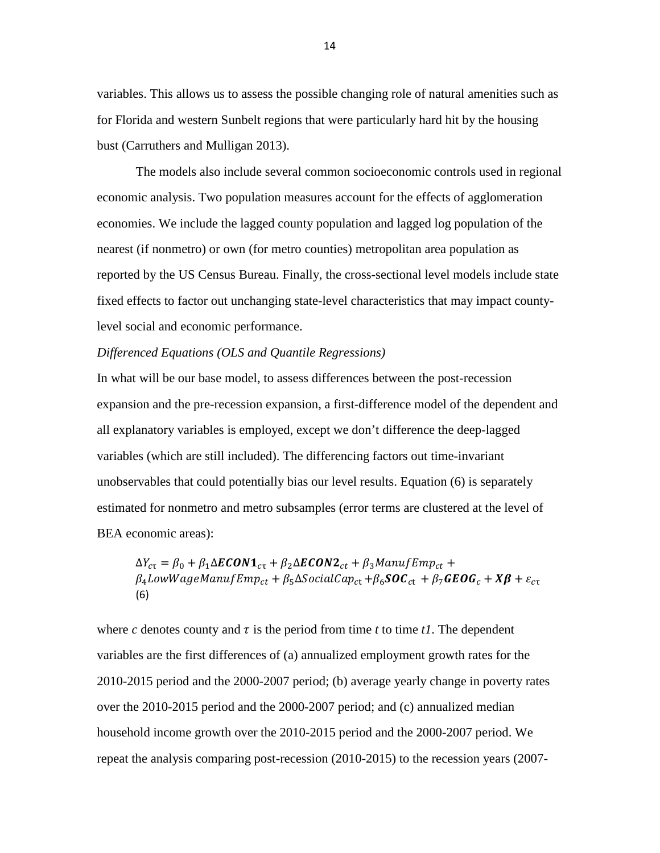variables. This allows us to assess the possible changing role of natural amenities such as for Florida and western Sunbelt regions that were particularly hard hit by the housing bust (Carruthers and Mulligan 2013).

The models also include several common socioeconomic controls used in regional economic analysis. Two population measures account for the effects of agglomeration economies. We include the lagged county population and lagged log population of the nearest (if nonmetro) or own (for metro counties) metropolitan area population as reported by the US Census Bureau. Finally, the cross-sectional level models include state fixed effects to factor out unchanging state-level characteristics that may impact countylevel social and economic performance.

#### *Differenced Equations (OLS and Quantile Regressions)*

In what will be our base model, to assess differences between the post-recession expansion and the pre-recession expansion, a first-difference model of the dependent and all explanatory variables is employed, except we don't difference the deep-lagged variables (which are still included). The differencing factors out time-invariant unobservables that could potentially bias our level results. Equation (6) is separately estimated for nonmetro and metro subsamples (error terms are clustered at the level of BEA economic areas):

 $\Delta Y_{c\tau} = \beta_0 + \beta_1 \Delta ECOM1_{c\tau} + \beta_2 \Delta ECON2_{ct} + \beta_3 ManuffEmp_{ct} +$  $\beta_4$ LowWageManufEmp<sub>ct</sub> +  $\beta_5$  $\Delta$ SocialCap<sub>ct</sub> +  $\beta_6$ **SOC**<sub>ct</sub> +  $\beta_7$ **GEOG**<sub>c</sub> + **X** $\beta$  +  $\varepsilon$ <sub>ct</sub> (6)

where *c* denotes county and  $\tau$  is the period from time *t* to time *t1*. The dependent variables are the first differences of (a) annualized employment growth rates for the 2010-2015 period and the 2000-2007 period; (b) average yearly change in poverty rates over the 2010-2015 period and the 2000-2007 period; and (c) annualized median household income growth over the 2010-2015 period and the 2000-2007 period. We repeat the analysis comparing post-recession (2010-2015) to the recession years (2007-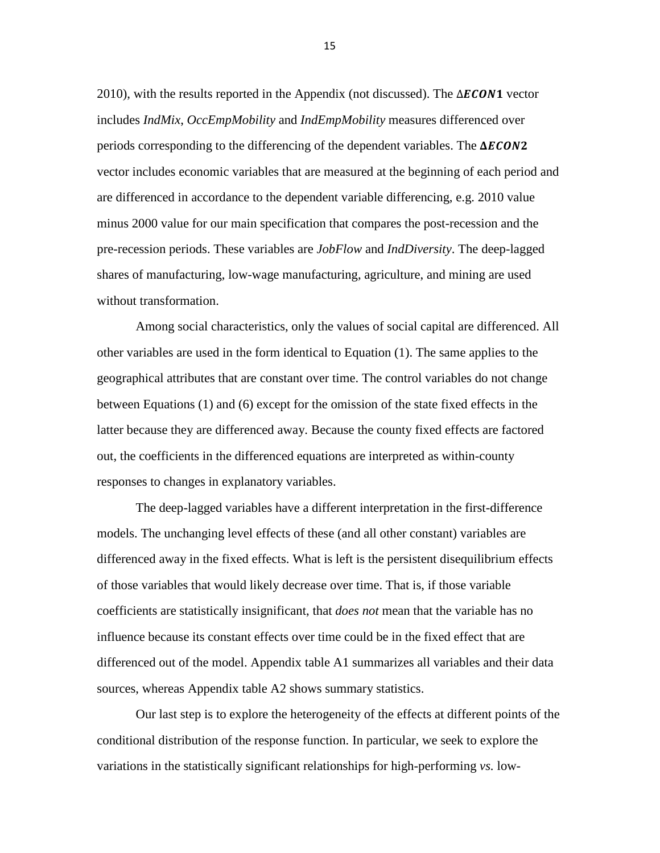2010), with the results reported in the Appendix (not discussed). The  $\Delta ECON1$  vector includes *IndMix*, *OccEmpMobility* and *IndEmpMobility* measures differenced over periods corresponding to the differencing of the dependent variables. The  $\Delta ECON2$ vector includes economic variables that are measured at the beginning of each period and are differenced in accordance to the dependent variable differencing, e.g. 2010 value minus 2000 value for our main specification that compares the post-recession and the pre-recession periods. These variables are *JobFlow* and *IndDiversity*. The deep-lagged shares of manufacturing, low-wage manufacturing, agriculture, and mining are used without transformation.

Among social characteristics, only the values of social capital are differenced. All other variables are used in the form identical to Equation (1). The same applies to the geographical attributes that are constant over time. The control variables do not change between Equations (1) and (6) except for the omission of the state fixed effects in the latter because they are differenced away. Because the county fixed effects are factored out, the coefficients in the differenced equations are interpreted as within-county responses to changes in explanatory variables.

The deep-lagged variables have a different interpretation in the first-difference models. The unchanging level effects of these (and all other constant) variables are differenced away in the fixed effects. What is left is the persistent disequilibrium effects of those variables that would likely decrease over time. That is, if those variable coefficients are statistically insignificant, that *does not* mean that the variable has no influence because its constant effects over time could be in the fixed effect that are differenced out of the model. Appendix table A1 summarizes all variables and their data sources, whereas Appendix table A2 shows summary statistics.

Our last step is to explore the heterogeneity of the effects at different points of the conditional distribution of the response function. In particular, we seek to explore the variations in the statistically significant relationships for high-performing *vs.* low-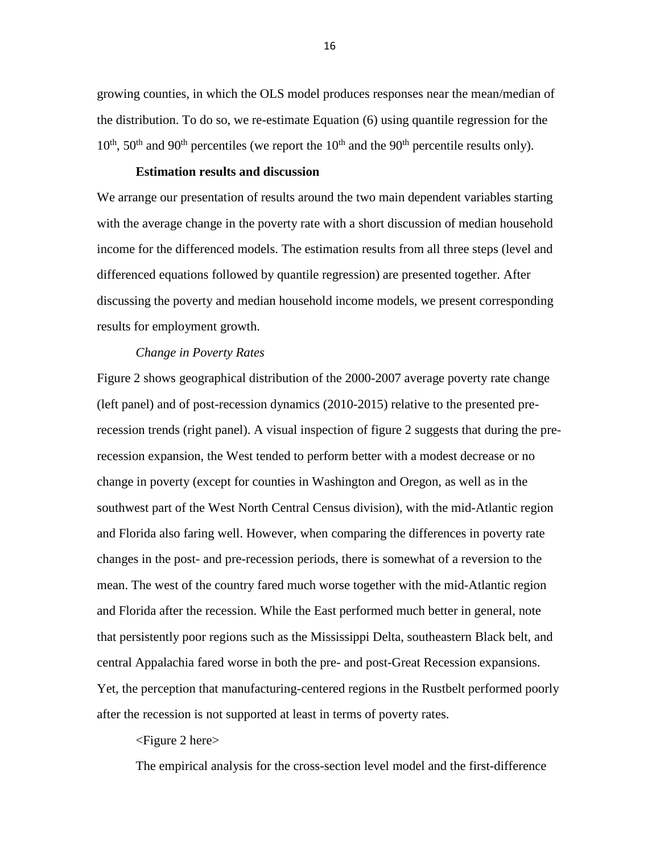growing counties, in which the OLS model produces responses near the mean/median of the distribution. To do so, we re-estimate Equation (6) using quantile regression for the  $10^{th}$ ,  $50^{th}$  and  $90^{th}$  percentiles (we report the  $10^{th}$  and the  $90^{th}$  percentile results only).

## **Estimation results and discussion**

We arrange our presentation of results around the two main dependent variables starting with the average change in the poverty rate with a short discussion of median household income for the differenced models. The estimation results from all three steps (level and differenced equations followed by quantile regression) are presented together. After discussing the poverty and median household income models, we present corresponding results for employment growth.

#### *Change in Poverty Rates*

Figure 2 shows geographical distribution of the 2000-2007 average poverty rate change (left panel) and of post-recession dynamics (2010-2015) relative to the presented prerecession trends (right panel). A visual inspection of figure 2 suggests that during the prerecession expansion, the West tended to perform better with a modest decrease or no change in poverty (except for counties in Washington and Oregon, as well as in the southwest part of the West North Central Census division), with the mid-Atlantic region and Florida also faring well. However, when comparing the differences in poverty rate changes in the post- and pre-recession periods, there is somewhat of a reversion to the mean. The west of the country fared much worse together with the mid-Atlantic region and Florida after the recession. While the East performed much better in general, note that persistently poor regions such as the Mississippi Delta, southeastern Black belt, and central Appalachia fared worse in both the pre- and post-Great Recession expansions. Yet, the perception that manufacturing-centered regions in the Rustbelt performed poorly after the recession is not supported at least in terms of poverty rates.

### <Figure 2 here>

The empirical analysis for the cross-section level model and the first-difference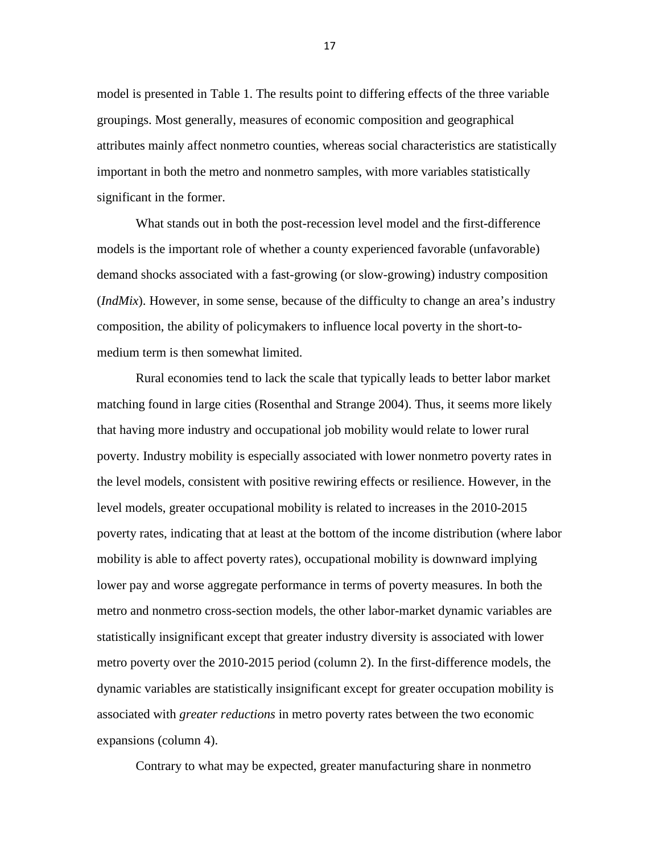model is presented in Table 1. The results point to differing effects of the three variable groupings. Most generally, measures of economic composition and geographical attributes mainly affect nonmetro counties, whereas social characteristics are statistically important in both the metro and nonmetro samples, with more variables statistically significant in the former.

What stands out in both the post-recession level model and the first-difference models is the important role of whether a county experienced favorable (unfavorable) demand shocks associated with a fast-growing (or slow-growing) industry composition (*IndMix*). However, in some sense, because of the difficulty to change an area's industry composition, the ability of policymakers to influence local poverty in the short-tomedium term is then somewhat limited.

Rural economies tend to lack the scale that typically leads to better labor market matching found in large cities (Rosenthal and Strange 2004). Thus, it seems more likely that having more industry and occupational job mobility would relate to lower rural poverty. Industry mobility is especially associated with lower nonmetro poverty rates in the level models, consistent with positive rewiring effects or resilience. However, in the level models, greater occupational mobility is related to increases in the 2010-2015 poverty rates, indicating that at least at the bottom of the income distribution (where labor mobility is able to affect poverty rates), occupational mobility is downward implying lower pay and worse aggregate performance in terms of poverty measures. In both the metro and nonmetro cross-section models, the other labor-market dynamic variables are statistically insignificant except that greater industry diversity is associated with lower metro poverty over the 2010-2015 period (column 2). In the first-difference models, the dynamic variables are statistically insignificant except for greater occupation mobility is associated with *greater reductions* in metro poverty rates between the two economic expansions (column 4).

Contrary to what may be expected, greater manufacturing share in nonmetro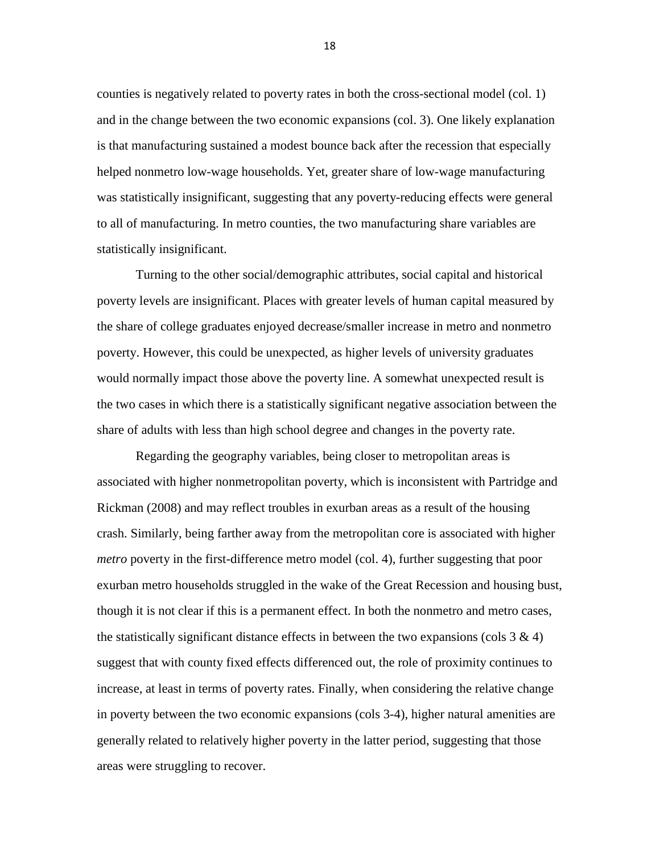counties is negatively related to poverty rates in both the cross-sectional model (col. 1) and in the change between the two economic expansions (col. 3). One likely explanation is that manufacturing sustained a modest bounce back after the recession that especially helped nonmetro low-wage households. Yet, greater share of low-wage manufacturing was statistically insignificant, suggesting that any poverty-reducing effects were general to all of manufacturing. In metro counties, the two manufacturing share variables are statistically insignificant.

Turning to the other social/demographic attributes, social capital and historical poverty levels are insignificant. Places with greater levels of human capital measured by the share of college graduates enjoyed decrease/smaller increase in metro and nonmetro poverty. However, this could be unexpected, as higher levels of university graduates would normally impact those above the poverty line. A somewhat unexpected result is the two cases in which there is a statistically significant negative association between the share of adults with less than high school degree and changes in the poverty rate.

Regarding the geography variables, being closer to metropolitan areas is associated with higher nonmetropolitan poverty, which is inconsistent with Partridge and Rickman (2008) and may reflect troubles in exurban areas as a result of the housing crash. Similarly, being farther away from the metropolitan core is associated with higher *metro* poverty in the first-difference metro model (col. 4), further suggesting that poor exurban metro households struggled in the wake of the Great Recession and housing bust, though it is not clear if this is a permanent effect. In both the nonmetro and metro cases, the statistically significant distance effects in between the two expansions (cols  $3 \& 4$ ) suggest that with county fixed effects differenced out, the role of proximity continues to increase, at least in terms of poverty rates. Finally, when considering the relative change in poverty between the two economic expansions (cols 3-4), higher natural amenities are generally related to relatively higher poverty in the latter period, suggesting that those areas were struggling to recover.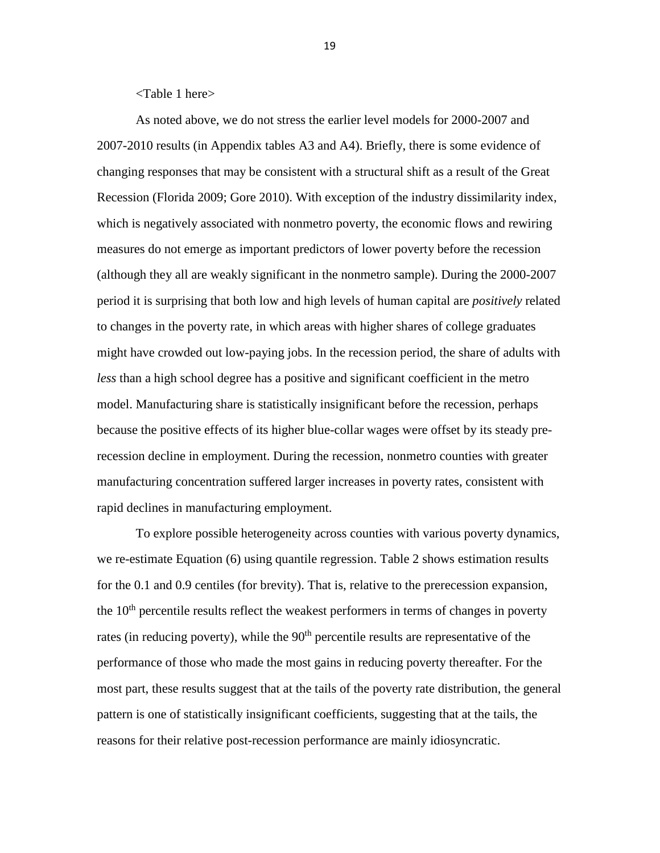<Table 1 here>

As noted above, we do not stress the earlier level models for 2000-2007 and 2007-2010 results (in Appendix tables A3 and A4). Briefly, there is some evidence of changing responses that may be consistent with a structural shift as a result of the Great Recession (Florida 2009; Gore 2010). With exception of the industry dissimilarity index, which is negatively associated with nonmetro poverty, the economic flows and rewiring measures do not emerge as important predictors of lower poverty before the recession (although they all are weakly significant in the nonmetro sample). During the 2000-2007 period it is surprising that both low and high levels of human capital are *positively* related to changes in the poverty rate, in which areas with higher shares of college graduates might have crowded out low-paying jobs. In the recession period, the share of adults with *less* than a high school degree has a positive and significant coefficient in the metro model. Manufacturing share is statistically insignificant before the recession, perhaps because the positive effects of its higher blue-collar wages were offset by its steady prerecession decline in employment. During the recession, nonmetro counties with greater manufacturing concentration suffered larger increases in poverty rates, consistent with rapid declines in manufacturing employment.

To explore possible heterogeneity across counties with various poverty dynamics, we re-estimate Equation (6) using quantile regression. Table 2 shows estimation results for the 0.1 and 0.9 centiles (for brevity). That is, relative to the prerecession expansion, the  $10<sup>th</sup>$  percentile results reflect the weakest performers in terms of changes in poverty rates (in reducing poverty), while the  $90<sup>th</sup>$  percentile results are representative of the performance of those who made the most gains in reducing poverty thereafter. For the most part, these results suggest that at the tails of the poverty rate distribution, the general pattern is one of statistically insignificant coefficients, suggesting that at the tails, the reasons for their relative post-recession performance are mainly idiosyncratic.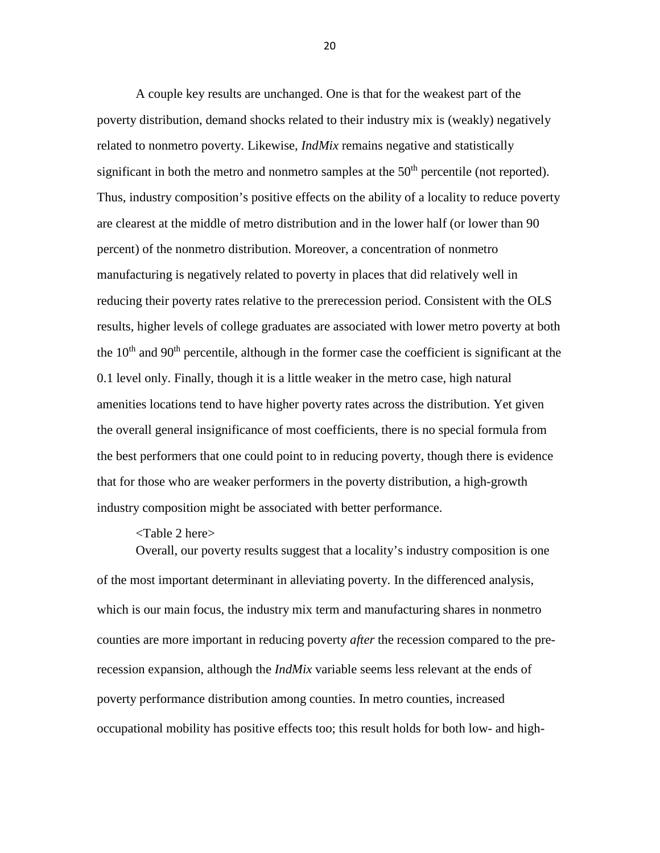A couple key results are unchanged. One is that for the weakest part of the poverty distribution, demand shocks related to their industry mix is (weakly) negatively related to nonmetro poverty. Likewise, *IndMix* remains negative and statistically significant in both the metro and nonmetro samples at the  $50<sup>th</sup>$  percentile (not reported). Thus, industry composition's positive effects on the ability of a locality to reduce poverty are clearest at the middle of metro distribution and in the lower half (or lower than 90 percent) of the nonmetro distribution. Moreover, a concentration of nonmetro manufacturing is negatively related to poverty in places that did relatively well in reducing their poverty rates relative to the prerecession period. Consistent with the OLS results, higher levels of college graduates are associated with lower metro poverty at both the  $10<sup>th</sup>$  and  $90<sup>th</sup>$  percentile, although in the former case the coefficient is significant at the 0.1 level only. Finally, though it is a little weaker in the metro case, high natural amenities locations tend to have higher poverty rates across the distribution. Yet given the overall general insignificance of most coefficients, there is no special formula from the best performers that one could point to in reducing poverty, though there is evidence that for those who are weaker performers in the poverty distribution, a high-growth industry composition might be associated with better performance.

# <Table 2 here>

Overall, our poverty results suggest that a locality's industry composition is one of the most important determinant in alleviating poverty. In the differenced analysis, which is our main focus, the industry mix term and manufacturing shares in nonmetro counties are more important in reducing poverty *after* the recession compared to the prerecession expansion, although the *IndMix* variable seems less relevant at the ends of poverty performance distribution among counties. In metro counties, increased occupational mobility has positive effects too; this result holds for both low- and high-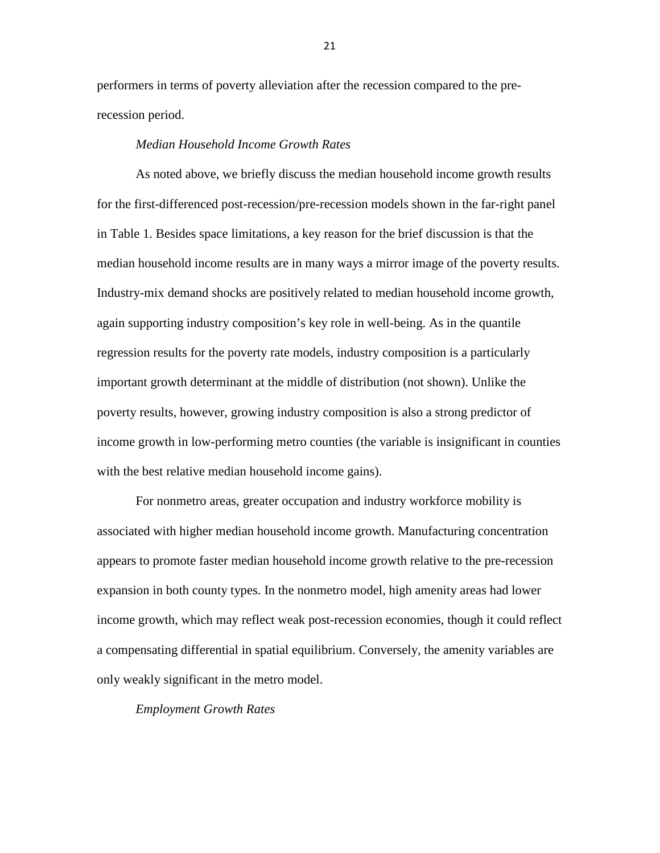performers in terms of poverty alleviation after the recession compared to the prerecession period.

# *Median Household Income Growth Rates*

As noted above, we briefly discuss the median household income growth results for the first-differenced post-recession/pre-recession models shown in the far-right panel in Table 1. Besides space limitations, a key reason for the brief discussion is that the median household income results are in many ways a mirror image of the poverty results. Industry-mix demand shocks are positively related to median household income growth, again supporting industry composition's key role in well-being. As in the quantile regression results for the poverty rate models, industry composition is a particularly important growth determinant at the middle of distribution (not shown). Unlike the poverty results, however, growing industry composition is also a strong predictor of income growth in low-performing metro counties (the variable is insignificant in counties with the best relative median household income gains).

For nonmetro areas, greater occupation and industry workforce mobility is associated with higher median household income growth. Manufacturing concentration appears to promote faster median household income growth relative to the pre-recession expansion in both county types. In the nonmetro model, high amenity areas had lower income growth, which may reflect weak post-recession economies, though it could reflect a compensating differential in spatial equilibrium. Conversely, the amenity variables are only weakly significant in the metro model.

*Employment Growth Rates*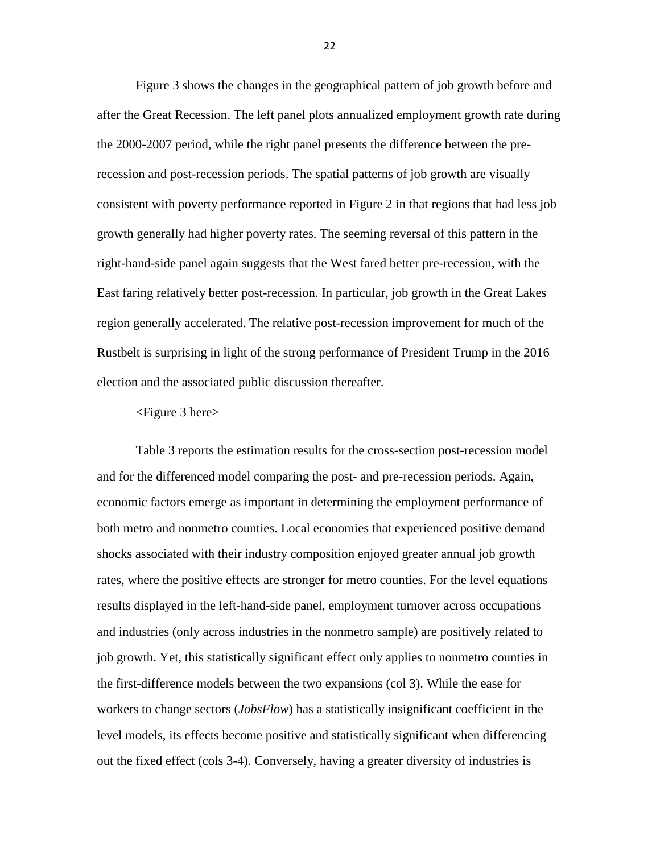Figure 3 shows the changes in the geographical pattern of job growth before and after the Great Recession. The left panel plots annualized employment growth rate during the 2000-2007 period, while the right panel presents the difference between the prerecession and post-recession periods. The spatial patterns of job growth are visually consistent with poverty performance reported in Figure 2 in that regions that had less job growth generally had higher poverty rates. The seeming reversal of this pattern in the right-hand-side panel again suggests that the West fared better pre-recession, with the East faring relatively better post-recession. In particular, job growth in the Great Lakes region generally accelerated. The relative post-recession improvement for much of the Rustbelt is surprising in light of the strong performance of President Trump in the 2016 election and the associated public discussion thereafter.

## <Figure 3 here>

Table 3 reports the estimation results for the cross-section post-recession model and for the differenced model comparing the post- and pre-recession periods. Again, economic factors emerge as important in determining the employment performance of both metro and nonmetro counties. Local economies that experienced positive demand shocks associated with their industry composition enjoyed greater annual job growth rates, where the positive effects are stronger for metro counties. For the level equations results displayed in the left-hand-side panel, employment turnover across occupations and industries (only across industries in the nonmetro sample) are positively related to job growth. Yet, this statistically significant effect only applies to nonmetro counties in the first-difference models between the two expansions (col 3). While the ease for workers to change sectors (*JobsFlow*) has a statistically insignificant coefficient in the level models, its effects become positive and statistically significant when differencing out the fixed effect (cols 3-4). Conversely, having a greater diversity of industries is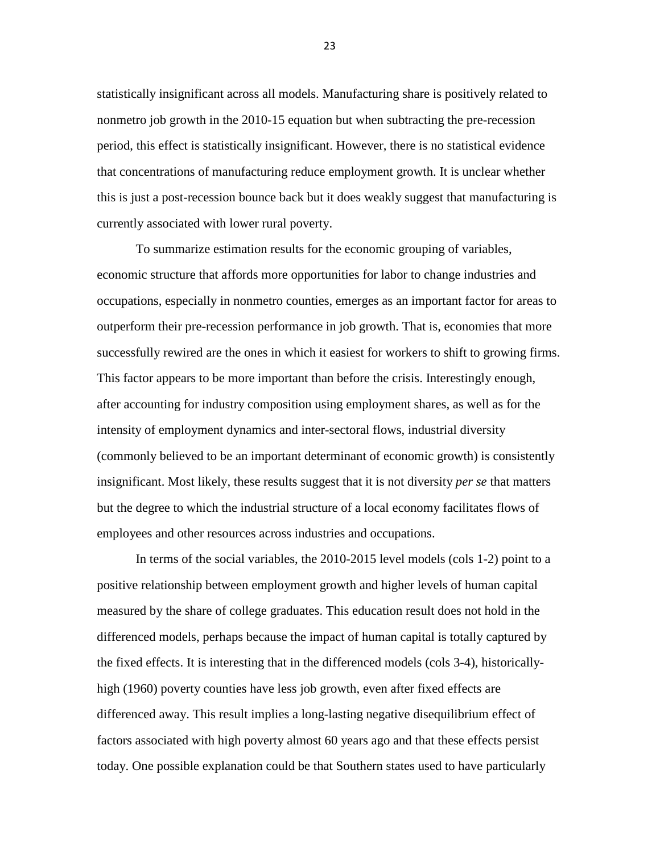statistically insignificant across all models. Manufacturing share is positively related to nonmetro job growth in the 2010-15 equation but when subtracting the pre-recession period, this effect is statistically insignificant. However, there is no statistical evidence that concentrations of manufacturing reduce employment growth. It is unclear whether this is just a post-recession bounce back but it does weakly suggest that manufacturing is currently associated with lower rural poverty.

To summarize estimation results for the economic grouping of variables, economic structure that affords more opportunities for labor to change industries and occupations, especially in nonmetro counties, emerges as an important factor for areas to outperform their pre-recession performance in job growth. That is, economies that more successfully rewired are the ones in which it easiest for workers to shift to growing firms. This factor appears to be more important than before the crisis. Interestingly enough, after accounting for industry composition using employment shares, as well as for the intensity of employment dynamics and inter-sectoral flows, industrial diversity (commonly believed to be an important determinant of economic growth) is consistently insignificant. Most likely, these results suggest that it is not diversity *per se* that matters but the degree to which the industrial structure of a local economy facilitates flows of employees and other resources across industries and occupations.

In terms of the social variables, the 2010-2015 level models (cols 1-2) point to a positive relationship between employment growth and higher levels of human capital measured by the share of college graduates. This education result does not hold in the differenced models, perhaps because the impact of human capital is totally captured by the fixed effects. It is interesting that in the differenced models (cols 3-4), historicallyhigh (1960) poverty counties have less job growth, even after fixed effects are differenced away. This result implies a long-lasting negative disequilibrium effect of factors associated with high poverty almost 60 years ago and that these effects persist today. One possible explanation could be that Southern states used to have particularly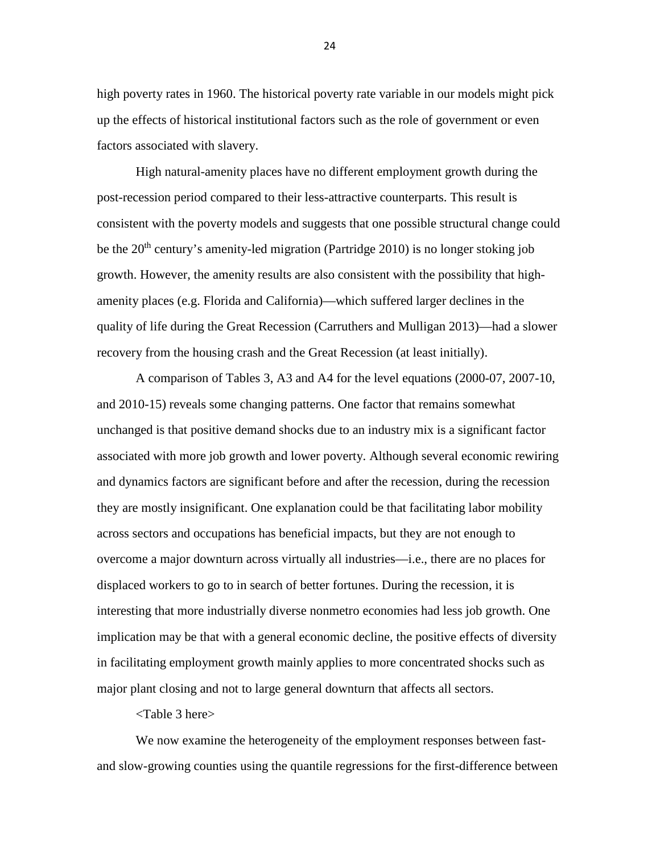high poverty rates in 1960. The historical poverty rate variable in our models might pick up the effects of historical institutional factors such as the role of government or even factors associated with slavery.

High natural-amenity places have no different employment growth during the post-recession period compared to their less-attractive counterparts. This result is consistent with the poverty models and suggests that one possible structural change could be the  $20<sup>th</sup>$  century's amenity-led migration (Partridge 2010) is no longer stoking job growth. However, the amenity results are also consistent with the possibility that highamenity places (e.g. Florida and California)—which suffered larger declines in the quality of life during the Great Recession (Carruthers and Mulligan 2013)—had a slower recovery from the housing crash and the Great Recession (at least initially).

A comparison of Tables 3, A3 and A4 for the level equations (2000-07, 2007-10, and 2010-15) reveals some changing patterns. One factor that remains somewhat unchanged is that positive demand shocks due to an industry mix is a significant factor associated with more job growth and lower poverty. Although several economic rewiring and dynamics factors are significant before and after the recession, during the recession they are mostly insignificant. One explanation could be that facilitating labor mobility across sectors and occupations has beneficial impacts, but they are not enough to overcome a major downturn across virtually all industries—i.e., there are no places for displaced workers to go to in search of better fortunes. During the recession, it is interesting that more industrially diverse nonmetro economies had less job growth. One implication may be that with a general economic decline, the positive effects of diversity in facilitating employment growth mainly applies to more concentrated shocks such as major plant closing and not to large general downturn that affects all sectors.

<Table 3 here>

We now examine the heterogeneity of the employment responses between fastand slow-growing counties using the quantile regressions for the first-difference between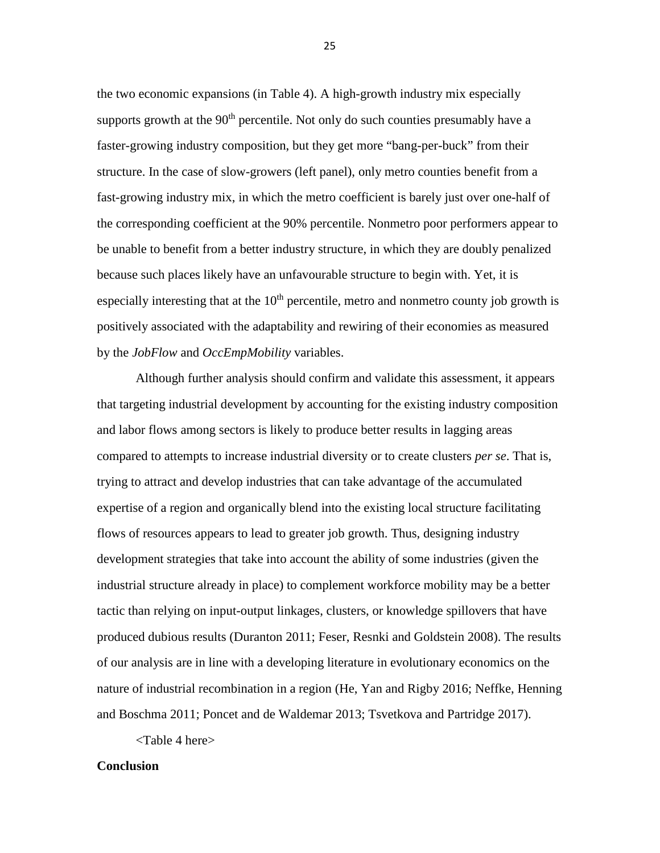the two economic expansions (in Table 4). A high-growth industry mix especially supports growth at the  $90<sup>th</sup>$  percentile. Not only do such counties presumably have a faster-growing industry composition, but they get more "bang-per-buck" from their structure. In the case of slow-growers (left panel), only metro counties benefit from a fast-growing industry mix, in which the metro coefficient is barely just over one-half of the corresponding coefficient at the 90% percentile. Nonmetro poor performers appear to be unable to benefit from a better industry structure, in which they are doubly penalized because such places likely have an unfavourable structure to begin with. Yet, it is especially interesting that at the  $10<sup>th</sup>$  percentile, metro and nonmetro county job growth is positively associated with the adaptability and rewiring of their economies as measured by the *JobFlow* and *OccEmpMobility* variables.

Although further analysis should confirm and validate this assessment, it appears that targeting industrial development by accounting for the existing industry composition and labor flows among sectors is likely to produce better results in lagging areas compared to attempts to increase industrial diversity or to create clusters *per se*. That is, trying to attract and develop industries that can take advantage of the accumulated expertise of a region and organically blend into the existing local structure facilitating flows of resources appears to lead to greater job growth. Thus, designing industry development strategies that take into account the ability of some industries (given the industrial structure already in place) to complement workforce mobility may be a better tactic than relying on input-output linkages, clusters, or knowledge spillovers that have produced dubious results (Duranton 2011; Feser, Resnki and Goldstein 2008). The results of our analysis are in line with a developing literature in evolutionary economics on the nature of industrial recombination in a region (He, Yan and Rigby 2016; Neffke, Henning and Boschma 2011; Poncet and de Waldemar 2013; Tsvetkova and Partridge 2017).

<Table 4 here>

## **Conclusion**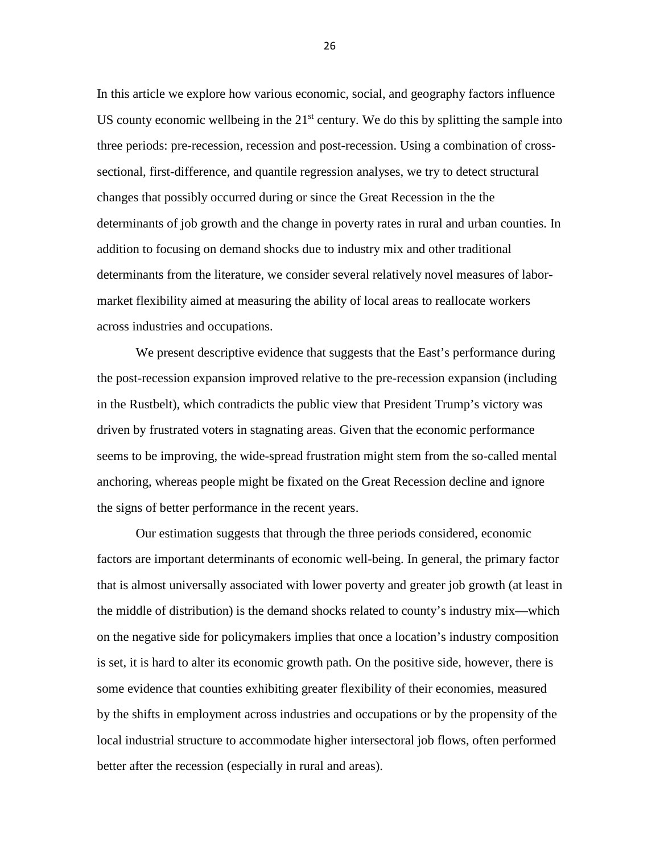In this article we explore how various economic, social, and geography factors influence US county economic wellbeing in the  $21<sup>st</sup>$  century. We do this by splitting the sample into three periods: pre-recession, recession and post-recession. Using a combination of crosssectional, first-difference, and quantile regression analyses, we try to detect structural changes that possibly occurred during or since the Great Recession in the the determinants of job growth and the change in poverty rates in rural and urban counties. In addition to focusing on demand shocks due to industry mix and other traditional determinants from the literature, we consider several relatively novel measures of labormarket flexibility aimed at measuring the ability of local areas to reallocate workers across industries and occupations.

We present descriptive evidence that suggests that the East's performance during the post-recession expansion improved relative to the pre-recession expansion (including in the Rustbelt), which contradicts the public view that President Trump's victory was driven by frustrated voters in stagnating areas. Given that the economic performance seems to be improving, the wide-spread frustration might stem from the so-called mental anchoring, whereas people might be fixated on the Great Recession decline and ignore the signs of better performance in the recent years.

Our estimation suggests that through the three periods considered, economic factors are important determinants of economic well-being. In general, the primary factor that is almost universally associated with lower poverty and greater job growth (at least in the middle of distribution) is the demand shocks related to county's industry mix—which on the negative side for policymakers implies that once a location's industry composition is set, it is hard to alter its economic growth path. On the positive side, however, there is some evidence that counties exhibiting greater flexibility of their economies, measured by the shifts in employment across industries and occupations or by the propensity of the local industrial structure to accommodate higher intersectoral job flows, often performed better after the recession (especially in rural and areas).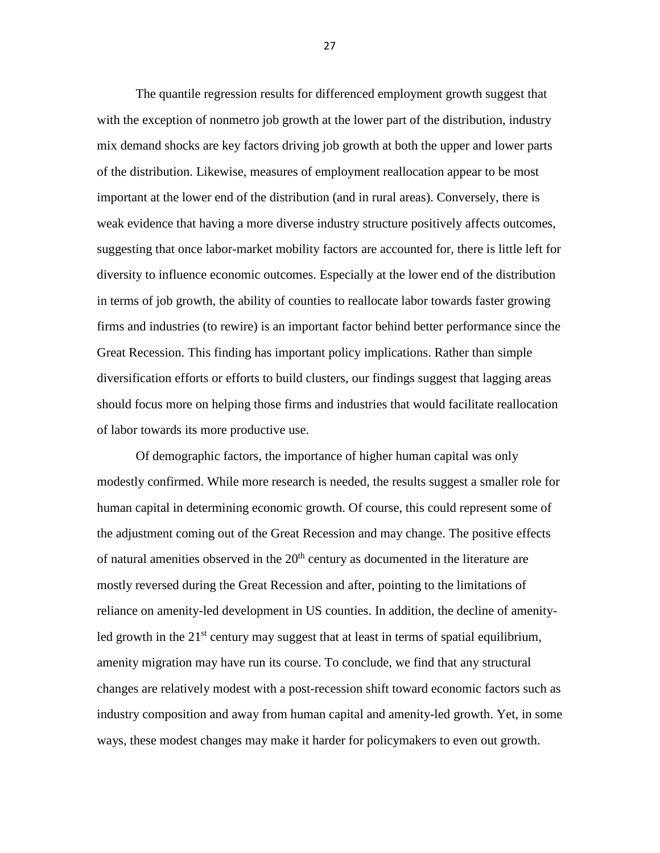The quantile regression results for differenced employment growth suggest that with the exception of nonmetro job growth at the lower part of the distribution, industry mix demand shocks are key factors driving job growth at both the upper and lower parts of the distribution. Likewise, measures of employment reallocation appear to be most important at the lower end of the distribution (and in rural areas). Conversely, there is weak evidence that having a more diverse industry structure positively affects outcomes, suggesting that once labor-market mobility factors are accounted for, there is little left for diversity to influence economic outcomes. Especially at the lower end of the distribution in terms of job growth, the ability of counties to reallocate labor towards faster growing firms and industries (to rewire) is an important factor behind better performance since the Great Recession. This finding has important policy implications. Rather than simple diversification efforts or efforts to build clusters, our findings suggest that lagging areas should focus more on helping those firms and industries that would facilitate reallocation of labor towards its more productive use.

Of demographic factors, the importance of higher human capital was only modestly confirmed. While more research is needed, the results suggest a smaller role for human capital in determining economic growth. Of course, this could represent some of the adjustment coming out of the Great Recession and may change. The positive effects of natural amenities observed in the  $20<sup>th</sup>$  century as documented in the literature are mostly reversed during the Great Recession and after, pointing to the limitations of reliance on amenity-led development in US counties. In addition, the decline of amenityled growth in the  $21^{st}$  century may suggest that at least in terms of spatial equilibrium, amenity migration may have run its course. To conclude, we find that any structural changes are relatively modest with a post-recession shift toward economic factors such as industry composition and away from human capital and amenity-led growth. Yet, in some ways, these modest changes may make it harder for policymakers to even out growth.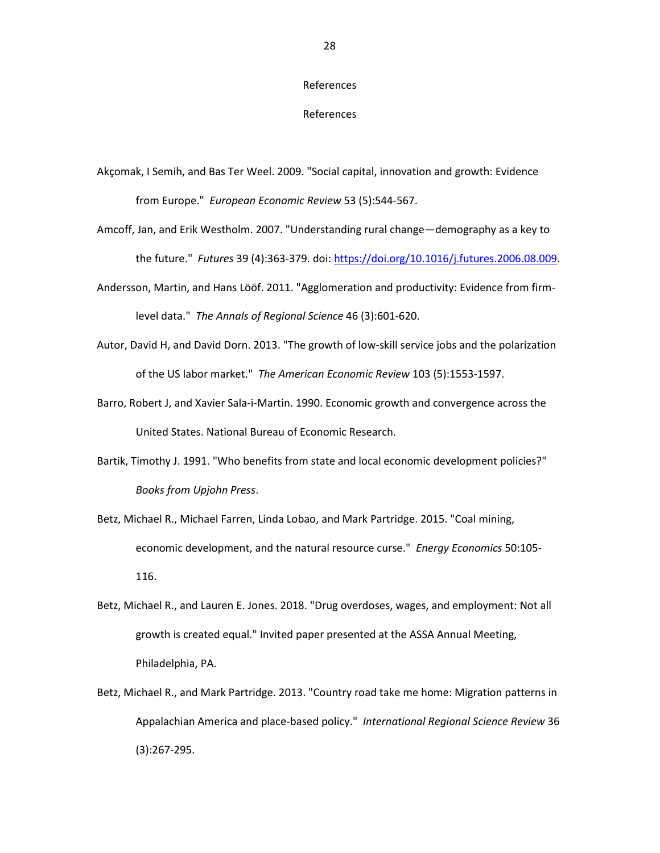#### References

#### References

- Akçomak, I Semih, and Bas Ter Weel. 2009. "Social capital, innovation and growth: Evidence from Europe." *European Economic Review* 53 (5):544-567.
- Amcoff, Jan, and Erik Westholm. 2007. "Understanding rural change—demography as a key to the future." *Futures* 39 (4):363-379. doi: [https://doi.org/10.1016/j.futures.2006.08.009.](https://doi.org/10.1016/j.futures.2006.08.009)
- Andersson, Martin, and Hans Lööf. 2011. "Agglomeration and productivity: Evidence from firmlevel data." *The Annals of Regional Science* 46 (3):601-620.
- Autor, David H, and David Dorn. 2013. "The growth of low-skill service jobs and the polarization of the US labor market." *The American Economic Review* 103 (5):1553-1597.
- Barro, Robert J, and Xavier Sala-i-Martin. 1990. Economic growth and convergence across the United States. National Bureau of Economic Research.
- Bartik, Timothy J. 1991. "Who benefits from state and local economic development policies?" *Books from Upjohn Press*.
- Betz, Michael R., Michael Farren, Linda Lobao, and Mark Partridge. 2015. "Coal mining, economic development, and the natural resource curse." *Energy Economics* 50:105- 116.
- Betz, Michael R., and Lauren E. Jones. 2018. "Drug overdoses, wages, and employment: Not all growth is created equal." Invited paper presented at the ASSA Annual Meeting, Philadelphia, PA.
- Betz, Michael R., and Mark Partridge. 2013. "Country road take me home: Migration patterns in Appalachian America and place-based policy." *International Regional Science Review* 36 (3):267-295.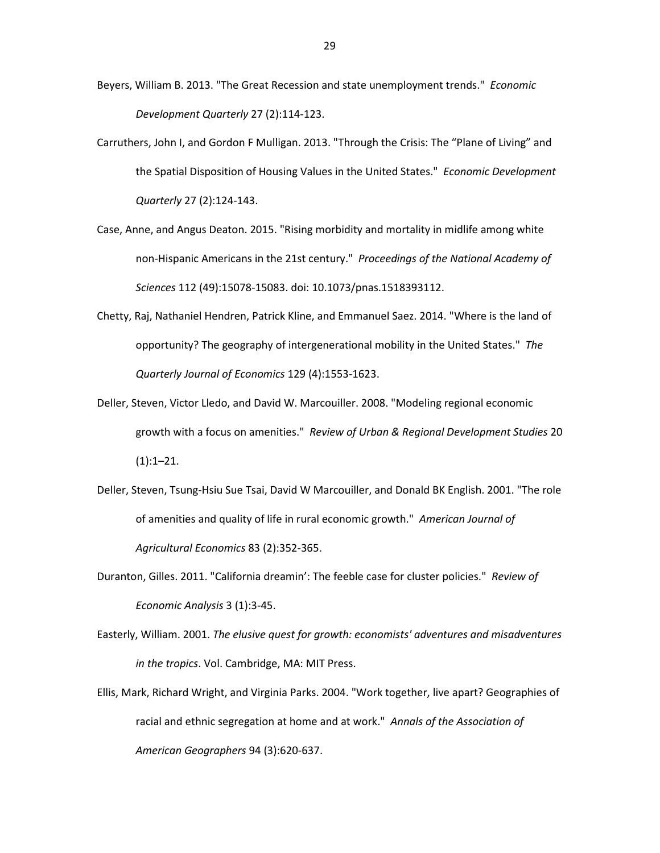- Beyers, William B. 2013. "The Great Recession and state unemployment trends." *Economic Development Quarterly* 27 (2):114-123.
- Carruthers, John I, and Gordon F Mulligan. 2013. "Through the Crisis: The "Plane of Living" and the Spatial Disposition of Housing Values in the United States." *Economic Development Quarterly* 27 (2):124-143.
- Case, Anne, and Angus Deaton. 2015. "Rising morbidity and mortality in midlife among white non-Hispanic Americans in the 21st century." *Proceedings of the National Academy of Sciences* 112 (49):15078-15083. doi: 10.1073/pnas.1518393112.
- Chetty, Raj, Nathaniel Hendren, Patrick Kline, and Emmanuel Saez. 2014. "Where is the land of opportunity? The geography of intergenerational mobility in the United States." *The Quarterly Journal of Economics* 129 (4):1553-1623.
- Deller, Steven, Victor Lledo, and David W. Marcouiller. 2008. "Modeling regional economic growth with a focus on amenities." *Review of Urban & Regional Development Studies* 20  $(1):1-21.$
- Deller, Steven, Tsung-Hsiu Sue Tsai, David W Marcouiller, and Donald BK English. 2001. "The role of amenities and quality of life in rural economic growth." *American Journal of Agricultural Economics* 83 (2):352-365.
- Duranton, Gilles. 2011. "California dreamin': The feeble case for cluster policies." *Review of Economic Analysis* 3 (1):3-45.
- Easterly, William. 2001. *The elusive quest for growth: economists' adventures and misadventures in the tropics*. Vol. Cambridge, MA: MIT Press.
- Ellis, Mark, Richard Wright, and Virginia Parks. 2004. "Work together, live apart? Geographies of racial and ethnic segregation at home and at work." *Annals of the Association of American Geographers* 94 (3):620-637.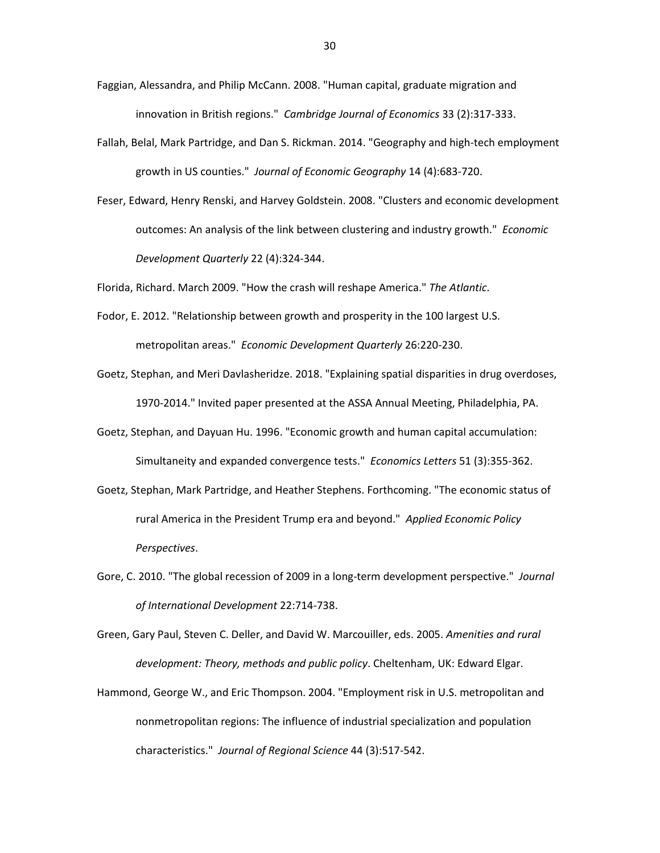- Faggian, Alessandra, and Philip McCann. 2008. "Human capital, graduate migration and innovation in British regions." *Cambridge Journal of Economics* 33 (2):317-333.
- Fallah, Belal, Mark Partridge, and Dan S. Rickman. 2014. "Geography and high-tech employment growth in US counties." *Journal of Economic Geography* 14 (4):683-720.
- Feser, Edward, Henry Renski, and Harvey Goldstein. 2008. "Clusters and economic development outcomes: An analysis of the link between clustering and industry growth." *Economic Development Quarterly* 22 (4):324-344.

Florida, Richard. March 2009. "How the crash will reshape America." *The Atlantic*.

- Fodor, E. 2012. "Relationship between growth and prosperity in the 100 largest U.S. metropolitan areas." *Economic Development Quarterly* 26:220-230.
- Goetz, Stephan, and Meri Davlasheridze. 2018. "Explaining spatial disparities in drug overdoses, 1970-2014." Invited paper presented at the ASSA Annual Meeting, Philadelphia, PA.
- Goetz, Stephan, and Dayuan Hu. 1996. "Economic growth and human capital accumulation: Simultaneity and expanded convergence tests." *Economics Letters* 51 (3):355-362.
- Goetz, Stephan, Mark Partridge, and Heather Stephens. Forthcoming. "The economic status of rural America in the President Trump era and beyond." *Applied Economic Policy Perspectives*.
- Gore, C. 2010. "The global recession of 2009 in a long-term development perspective." *Journal of International Development* 22:714-738.

Green, Gary Paul, Steven C. Deller, and David W. Marcouiller, eds. 2005. *Amenities and rural development: Theory, methods and public policy*. Cheltenham, UK: Edward Elgar.

Hammond, George W., and Eric Thompson. 2004. "Employment risk in U.S. metropolitan and nonmetropolitan regions: The influence of industrial specialization and population characteristics." *Journal of Regional Science* 44 (3):517-542.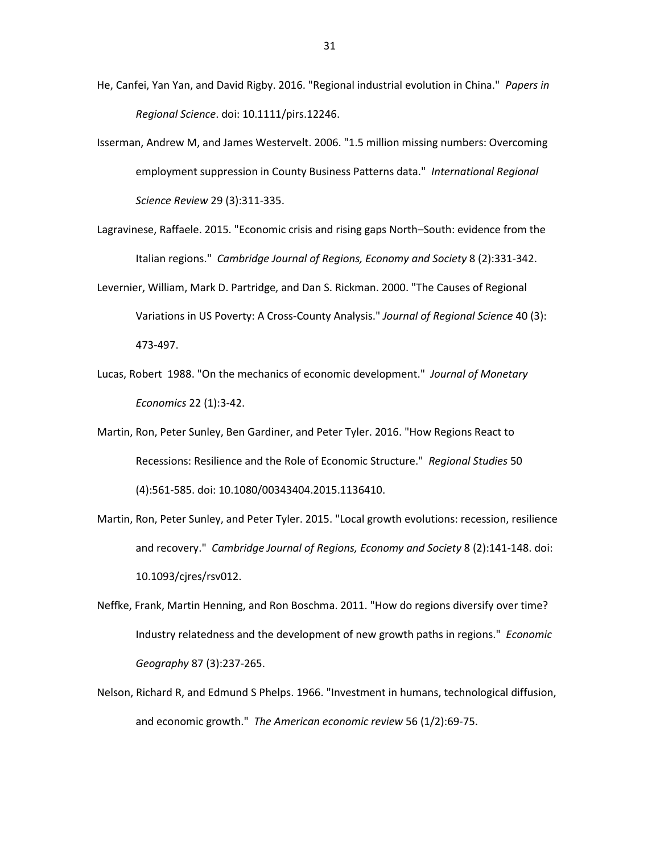- He, Canfei, Yan Yan, and David Rigby. 2016. "Regional industrial evolution in China." *Papers in Regional Science*. doi: 10.1111/pirs.12246.
- Isserman, Andrew M, and James Westervelt. 2006. "1.5 million missing numbers: Overcoming employment suppression in County Business Patterns data." *International Regional Science Review* 29 (3):311-335.
- Lagravinese, Raffaele. 2015. "Economic crisis and rising gaps North–South: evidence from the Italian regions." *Cambridge Journal of Regions, Economy and Society* 8 (2):331-342.
- Levernier, William, Mark D. Partridge, and Dan S. Rickman. 2000. "The Causes of Regional Variations in US Poverty: A Cross-County Analysis." *Journal of Regional Science* 40 (3): 473-497.
- Lucas, Robert 1988. "On the mechanics of economic development." *Journal of Monetary Economics* 22 (1):3-42.
- Martin, Ron, Peter Sunley, Ben Gardiner, and Peter Tyler. 2016. "How Regions React to Recessions: Resilience and the Role of Economic Structure." *Regional Studies* 50 (4):561-585. doi: 10.1080/00343404.2015.1136410.
- Martin, Ron, Peter Sunley, and Peter Tyler. 2015. "Local growth evolutions: recession, resilience and recovery." *Cambridge Journal of Regions, Economy and Society* 8 (2):141-148. doi: 10.1093/cjres/rsv012.
- Neffke, Frank, Martin Henning, and Ron Boschma. 2011. "How do regions diversify over time? Industry relatedness and the development of new growth paths in regions." *Economic Geography* 87 (3):237-265.
- Nelson, Richard R, and Edmund S Phelps. 1966. "Investment in humans, technological diffusion, and economic growth." *The American economic review* 56 (1/2):69-75.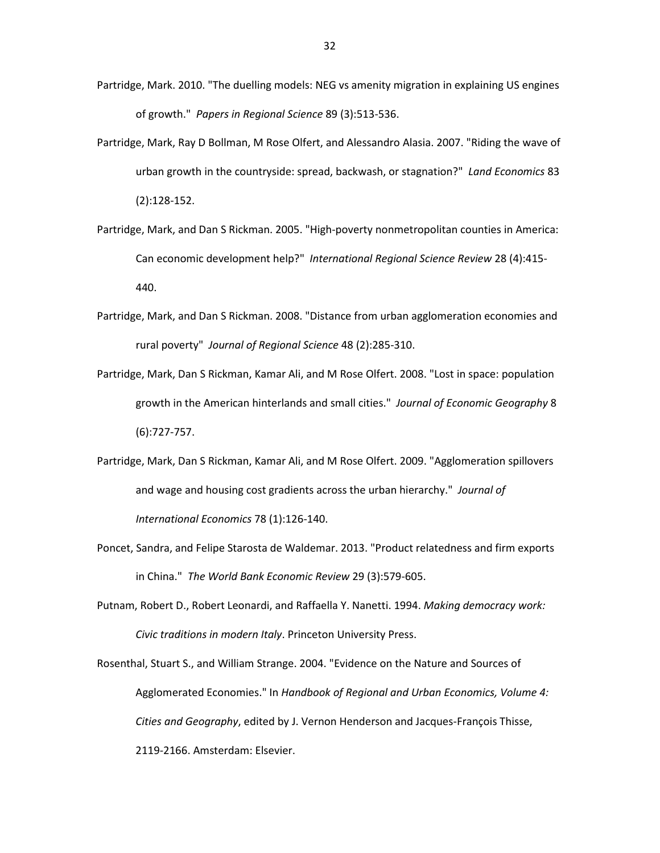- Partridge, Mark. 2010. "The duelling models: NEG vs amenity migration in explaining US engines of growth." *Papers in Regional Science* 89 (3):513-536.
- Partridge, Mark, Ray D Bollman, M Rose Olfert, and Alessandro Alasia. 2007. "Riding the wave of urban growth in the countryside: spread, backwash, or stagnation?" *Land Economics* 83 (2):128-152.
- Partridge, Mark, and Dan S Rickman. 2005. "High-poverty nonmetropolitan counties in America: Can economic development help?" *International Regional Science Review* 28 (4):415- 440.
- Partridge, Mark, and Dan S Rickman. 2008. "Distance from urban agglomeration economies and rural poverty" *Journal of Regional Science* 48 (2):285-310.
- Partridge, Mark, Dan S Rickman, Kamar Ali, and M Rose Olfert. 2008. "Lost in space: population growth in the American hinterlands and small cities." *Journal of Economic Geography* 8 (6):727-757.
- Partridge, Mark, Dan S Rickman, Kamar Ali, and M Rose Olfert. 2009. "Agglomeration spillovers and wage and housing cost gradients across the urban hierarchy." *Journal of International Economics* 78 (1):126-140.
- Poncet, Sandra, and Felipe Starosta de Waldemar. 2013. "Product relatedness and firm exports in China." *The World Bank Economic Review* 29 (3):579-605.
- Putnam, Robert D., Robert Leonardi, and Raffaella Y. Nanetti. 1994. *Making democracy work: Civic traditions in modern Italy*. Princeton University Press.

Rosenthal, Stuart S., and William Strange. 2004. "Evidence on the Nature and Sources of Agglomerated Economies." In *Handbook of Regional and Urban Economics, Volume 4: Cities and Geography*, edited by J. Vernon Henderson and Jacques-François Thisse, 2119-2166. Amsterdam: Elsevier.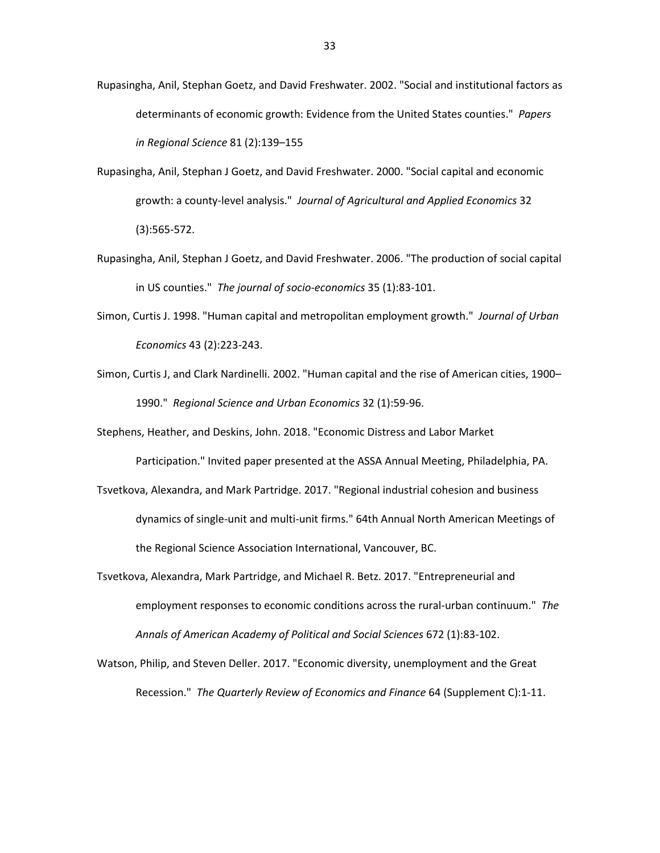- Rupasingha, Anil, Stephan Goetz, and David Freshwater. 2002. "Social and institutional factors as determinants of economic growth: Evidence from the United States counties." *Papers in Regional Science* 81 (2):139–155
- Rupasingha, Anil, Stephan J Goetz, and David Freshwater. 2000. "Social capital and economic growth: a county-level analysis." *Journal of Agricultural and Applied Economics* 32 (3):565-572.
- Rupasingha, Anil, Stephan J Goetz, and David Freshwater. 2006. "The production of social capital in US counties." *The journal of socio-economics* 35 (1):83-101.
- Simon, Curtis J. 1998. "Human capital and metropolitan employment growth." *Journal of Urban Economics* 43 (2):223-243.
- Simon, Curtis J, and Clark Nardinelli. 2002. "Human capital and the rise of American cities, 1900– 1990." *Regional Science and Urban Economics* 32 (1):59-96.
- Stephens, Heather, and Deskins, John. 2018. "Economic Distress and Labor Market

Participation." Invited paper presented at the ASSA Annual Meeting, Philadelphia, PA.

- Tsvetkova, Alexandra, and Mark Partridge. 2017. "Regional industrial cohesion and business dynamics of single-unit and multi-unit firms." 64th Annual North American Meetings of the Regional Science Association International, Vancouver, BC.
- Tsvetkova, Alexandra, Mark Partridge, and Michael R. Betz. 2017. "Entrepreneurial and employment responses to economic conditions across the rural-urban continuum." *The Annals of American Academy of Political and Social Sciences* 672 (1):83-102.
- Watson, Philip, and Steven Deller. 2017. "Economic diversity, unemployment and the Great Recession." *The Quarterly Review of Economics and Finance* 64 (Supplement C):1-11.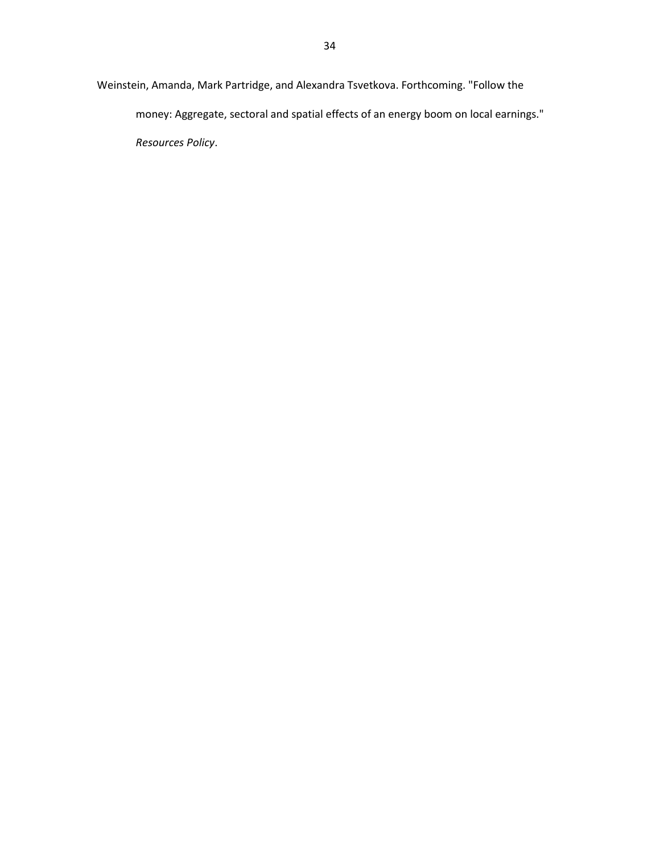Weinstein, Amanda, Mark Partridge, and Alexandra Tsvetkova. Forthcoming. "Follow the money: Aggregate, sectoral and spatial effects of an energy boom on local earnings." *Resources Policy*.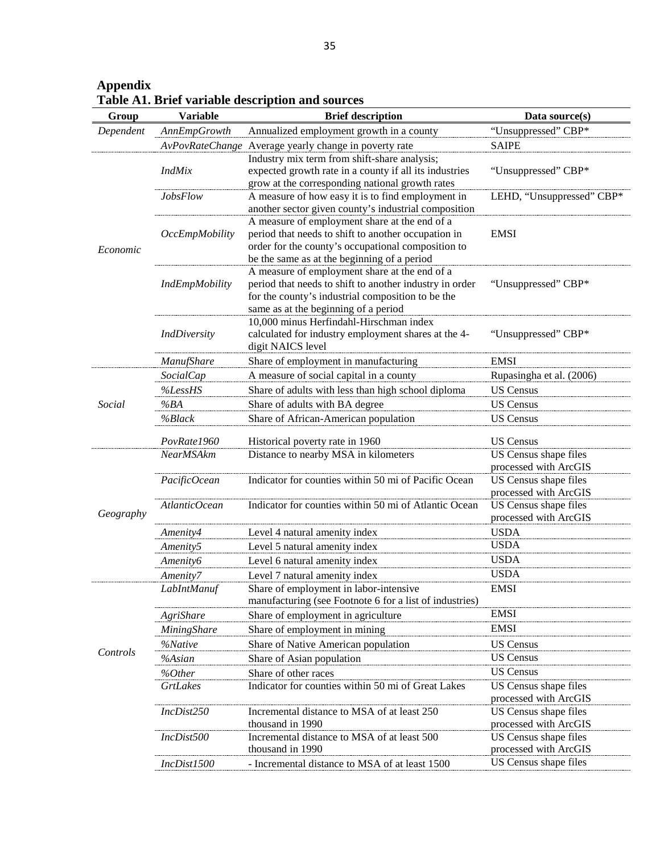| Group     | <b>Variable</b>       | on AT, brief variable uescription and sources<br><b>Brief description</b>                                 | Data source(s)                                 |
|-----------|-----------------------|-----------------------------------------------------------------------------------------------------------|------------------------------------------------|
| Dependent | <b>AnnEmpGrowth</b>   | Annualized employment growth in a county                                                                  | "Unsuppressed" CBP*                            |
|           |                       | AvPovRateChange Average yearly change in poverty rate                                                     | <b>SAIPE</b>                                   |
|           |                       | Industry mix term from shift-share analysis;                                                              |                                                |
|           | <b>IndMix</b>         | expected growth rate in a county if all its industries                                                    | "Unsuppressed" CBP*                            |
|           |                       | grow at the corresponding national growth rates                                                           |                                                |
|           | <b>JobsFlow</b>       | A measure of how easy it is to find employment in                                                         | LEHD, "Unsuppressed" CBP*                      |
|           |                       | another sector given county's industrial composition                                                      |                                                |
|           |                       | A measure of employment share at the end of a                                                             |                                                |
|           | <b>OccEmpMobility</b> | period that needs to shift to another occupation in<br>order for the county's occupational composition to | <b>EMSI</b>                                    |
| Economic  |                       | be the same as at the beginning of a period                                                               |                                                |
|           |                       | A measure of employment share at the end of a                                                             |                                                |
|           | IndEmpMobility        | period that needs to shift to another industry in order                                                   | "Unsuppressed" CBP*                            |
|           |                       | for the county's industrial composition to be the                                                         |                                                |
|           |                       | same as at the beginning of a period                                                                      |                                                |
|           |                       | 10,000 minus Herfindahl-Hirschman index                                                                   |                                                |
|           | <b>IndDiversity</b>   | calculated for industry employment shares at the 4-                                                       | "Unsuppressed" CBP*                            |
|           | <b>ManufShare</b>     | digit NAICS level<br>Share of employment in manufacturing                                                 | <b>EMSI</b>                                    |
|           | <b>SocialCap</b>      | A measure of social capital in a county                                                                   | Rupasingha et al. (2006)                       |
|           | %LessHS               | Share of adults with less than high school diploma                                                        | <b>US Census</b>                               |
| Social    | %BA                   | Share of adults with BA degree                                                                            | <b>US Census</b>                               |
|           | %Black                | Share of African-American population                                                                      | <b>US</b> Census                               |
|           |                       |                                                                                                           |                                                |
|           | PovRate1960           | Historical poverty rate in 1960                                                                           | <b>US Census</b>                               |
|           | <b>NearMSAkm</b>      | Distance to nearby MSA in kilometers                                                                      | US Census shape files                          |
|           | PacificOcean          | Indicator for counties within 50 mi of Pacific Ocean                                                      | processed with ArcGIS<br>US Census shape files |
|           |                       |                                                                                                           | processed with ArcGIS                          |
|           | AtlanticOcean         | Indicator for counties within 50 mi of Atlantic Ocean                                                     | US Census shape files                          |
| Geography |                       |                                                                                                           | processed with ArcGIS                          |
|           | Amenity4              | Level 4 natural amenity index                                                                             | <b>USDA</b>                                    |
|           | Amenity5              | Level 5 natural amenity index                                                                             | <b>USDA</b>                                    |
|           | Amenity6              | Level 6 natural amenity index                                                                             | <b>USDA</b>                                    |
|           | Amenity7              | Level 7 natural amenity index                                                                             | <b>USDA</b>                                    |
|           | LabIntManuf           | Share of employment in labor-intensive                                                                    | EMSI                                           |
|           |                       | manufacturing (see Footnote 6 for a list of industries)                                                   |                                                |
|           | AgriShare             | Share of employment in agriculture                                                                        | <b>EMSI</b>                                    |
|           | MiningShare           | Share of employment in mining                                                                             | <b>EMSI</b>                                    |
| Controls  | %Native               | Share of Native American population                                                                       | <b>US</b> Census                               |
|           | %Asian                | Share of Asian population                                                                                 | <b>US</b> Census                               |
|           | %Other                | Share of other races                                                                                      | <b>US</b> Census                               |
|           | <b>GrtLakes</b>       | Indicator for counties within 50 mi of Great Lakes                                                        | US Census shape files                          |
|           | IncDist250            | Incremental distance to MSA of at least 250                                                               | processed with ArcGIS<br>US Census shape files |
|           |                       | thousand in 1990                                                                                          | processed with ArcGIS                          |
|           | IncDist500            | Incremental distance to MSA of at least 500                                                               | US Census shape files                          |
|           |                       | thousand in 1990                                                                                          | processed with ArcGIS                          |
|           | IncDist1500           | - Incremental distance to MSA of at least 1500                                                            | US Census shape files                          |

**Appendix Table A1. Brief variable description and sources**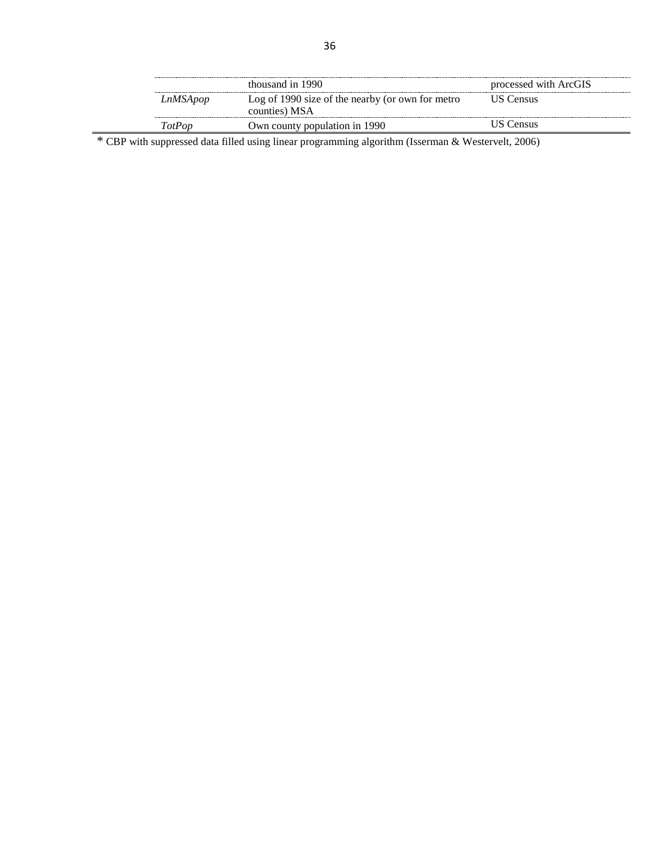|          | thousand in 1990                                                  | processed with ArcGIS |
|----------|-------------------------------------------------------------------|-----------------------|
| LnMSApop | Log of 1990 size of the nearby (or own for metro<br>counties) MSA | US Census-            |
| TotPon   | Own county population in 1990                                     | JS Census             |

\* CBP with suppressed data filled using linear programming algorithm (Isserman & Westervelt, 2006)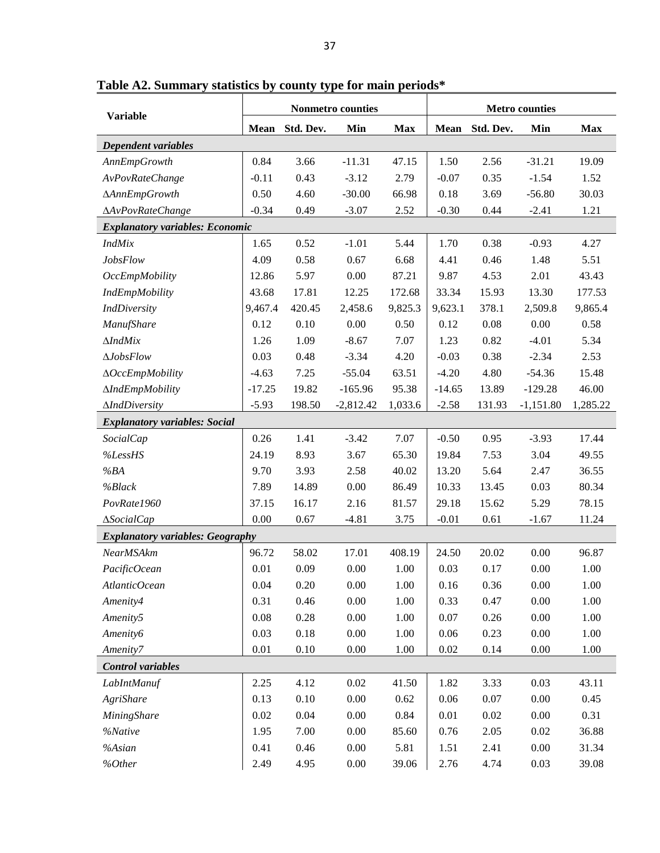|                                         | Nonmetro counties |           |             |            | <b>Metro counties</b> |           |             |            |
|-----------------------------------------|-------------------|-----------|-------------|------------|-----------------------|-----------|-------------|------------|
| <b>Variable</b>                         | Mean              | Std. Dev. | Min         | <b>Max</b> | <b>Mean</b>           | Std. Dev. | Min         | <b>Max</b> |
| Dependent variables                     |                   |           |             |            |                       |           |             |            |
| AnnEmpGrowth                            | 0.84              | 3.66      | $-11.31$    | 47.15      | 1.50                  | 2.56      | $-31.21$    | 19.09      |
| AvPovRateChange                         | $-0.11$           | 0.43      | $-3.12$     | 2.79       | $-0.07$               | 0.35      | $-1.54$     | 1.52       |
| <b>AAnnEmpGrowth</b>                    | 0.50              | 4.60      | $-30.00$    | 66.98      | 0.18                  | 3.69      | $-56.80$    | 30.03      |
| AAvPovRateChange                        | $-0.34$           | 0.49      | $-3.07$     | 2.52       | $-0.30$               | 0.44      | $-2.41$     | 1.21       |
| <b>Explanatory variables: Economic</b>  |                   |           |             |            |                       |           |             |            |
| IndMix                                  | 1.65              | 0.52      | $-1.01$     | 5.44       | 1.70                  | 0.38      | $-0.93$     | 4.27       |
| <b>JobsFlow</b>                         | 4.09              | 0.58      | 0.67        | 6.68       | 4.41                  | 0.46      | 1.48        | 5.51       |
| OccEmpMobility                          | 12.86             | 5.97      | 0.00        | 87.21      | 9.87                  | 4.53      | 2.01        | 43.43      |
| <b>IndEmpMobility</b>                   | 43.68             | 17.81     | 12.25       | 172.68     | 33.34                 | 15.93     | 13.30       | 177.53     |
| <b>IndDiversity</b>                     | 9,467.4           | 420.45    | 2,458.6     | 9,825.3    | 9,623.1               | 378.1     | 2,509.8     | 9,865.4    |
| <b>ManufShare</b>                       | 0.12              | 0.10      | 0.00        | 0.50       | 0.12                  | 0.08      | 0.00        | 0.58       |
| $\triangle IndMix$                      | 1.26              | 1.09      | $-8.67$     | 7.07       | 1.23                  | 0.82      | $-4.01$     | 5.34       |
| $\Delta J$ obs $Flow$                   | 0.03              | 0.48      | $-3.34$     | 4.20       | $-0.03$               | 0.38      | $-2.34$     | 2.53       |
| ΔOccEmpMobility                         | $-4.63$           | 7.25      | $-55.04$    | 63.51      | $-4.20$               | 4.80      | $-54.36$    | 15.48      |
| <b>AIndEmpMobility</b>                  | $-17.25$          | 19.82     | $-165.96$   | 95.38      | $-14.65$              | 13.89     | $-129.28$   | 46.00      |
| <b>AIndDiversity</b>                    | $-5.93$           | 198.50    | $-2,812.42$ | 1,033.6    | $-2.58$               | 131.93    | $-1,151.80$ | 1,285.22   |
| <b>Explanatory variables: Social</b>    |                   |           |             |            |                       |           |             |            |
| <b>SocialCap</b>                        | 0.26              | 1.41      | $-3.42$     | 7.07       | $-0.50$               | 0.95      | $-3.93$     | 17.44      |
| %LessHS                                 | 24.19             | 8.93      | 3.67        | 65.30      | 19.84                 | 7.53      | 3.04        | 49.55      |
| %BA                                     | 9.70              | 3.93      | 2.58        | 40.02      | 13.20                 | 5.64      | 2.47        | 36.55      |
| %Black                                  | 7.89              | 14.89     | 0.00        | 86.49      | 10.33                 | 13.45     | 0.03        | 80.34      |
| PovRate1960                             | 37.15             | 16.17     | 2.16        | 81.57      | 29.18                 | 15.62     | 5.29        | 78.15      |
| <b>ASocialCap</b>                       | 0.00              | 0.67      | $-4.81$     | 3.75       | $-0.01$               | 0.61      | $-1.67$     | 11.24      |
| <b>Explanatory variables: Geography</b> |                   |           |             |            |                       |           |             |            |
| NearMSAkm                               | 96.72             | 58.02     | 17.01       | 408.19     | 24.50                 | 20.02     | 0.00        | 96.87      |
| PacificOcean                            | 0.01              | 0.09      | 0.00        | 1.00       | 0.03                  | 0.17      | 0.00        | 1.00       |
| AtlanticOcean                           | 0.04              | 0.20      | 0.00        | 1.00       | 0.16                  | 0.36      | 0.00        | 1.00       |
| Amenity4                                | 0.31              | 0.46      | 0.00        | 1.00       | 0.33                  | 0.47      | 0.00        | 1.00       |
| Amenity5                                | 0.08              | 0.28      | $0.00\,$    | 1.00       | 0.07                  | 0.26      | 0.00        | 1.00       |
| Amenity6                                | 0.03              | 0.18      | 0.00        | 1.00       | 0.06                  | 0.23      | 0.00        | 1.00       |
| Amenity7                                | 0.01              | 0.10      | $0.00\,$    | 1.00       | 0.02                  | 0.14      | 0.00        | 1.00       |
| Control variables                       |                   |           |             |            |                       |           |             |            |
| LabIntManuf                             | 2.25              | 4.12      | 0.02        | 41.50      | 1.82                  | 3.33      | 0.03        | 43.11      |
| AgriShare                               | 0.13              | 0.10      | 0.00        | 0.62       | 0.06                  | 0.07      | 0.00        | 0.45       |
| <b>MiningShare</b>                      | $0.02\,$          | 0.04      | 0.00        | 0.84       | $0.01\,$              | 0.02      | 0.00        | 0.31       |

*%Native* 1.95 7.00 0.00 85.60 0.76 2.05 0.02 36.88 *%Asian* 0.41 0.46 0.00 5.81 1.51 2.41 0.00 31.34 *%Other* 2.49 4.95 0.00 39.06 2.76 4.74 0.03 39.08

**Table A2. Summary statistics by county type for main periods\***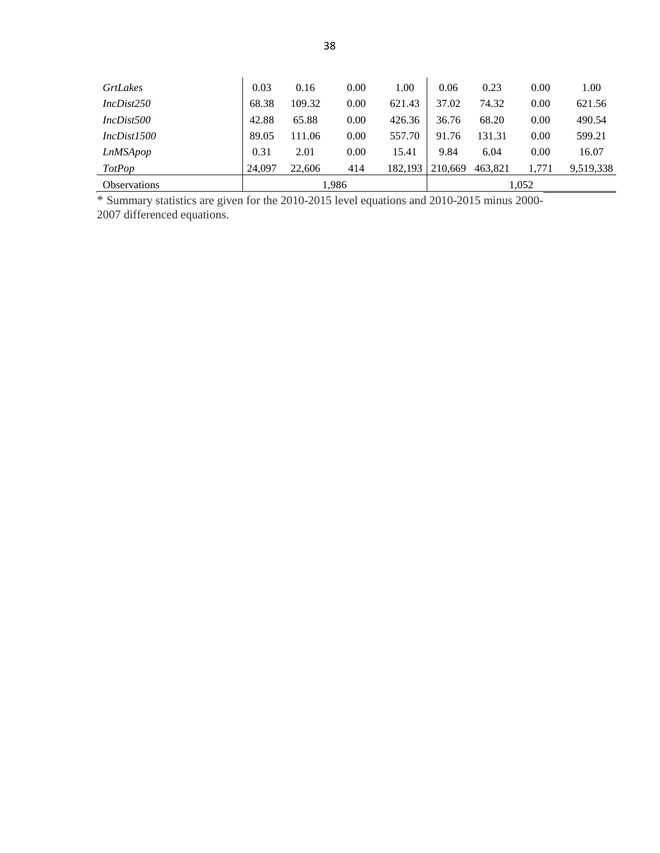| <b>GrtLakes</b>     | 0.03   | 0.16   | 0.00 | 1.00    | 0.06    | 0.23    | 0.00  | 1.00      |
|---------------------|--------|--------|------|---------|---------|---------|-------|-----------|
| IncDist250          | 68.38  | 109.32 | 0.00 | 621.43  | 37.02   | 74.32   | 0.00  | 621.56    |
| IncDist500          | 42.88  | 65.88  | 0.00 | 426.36  | 36.76   | 68.20   | 0.00  | 490.54    |
| Incbist1500         | 89.05  | 111.06 | 0.00 | 557.70  | 91.76   | 131.31  | 0.00  | 599.21    |
| LnMSApop            | 0.31   | 2.01   | 0.00 | 15.41   | 9.84    | 6.04    | 0.00  | 16.07     |
| <b>TotPop</b>       | 24.097 | 22,606 | 414  | 182.193 | 210.669 | 463.821 | 1.771 | 9.519.338 |
| <b>Observations</b> | 1,986  |        |      |         |         |         | 1,052 |           |

\* Summary statistics are given for the 2010-2015 level equations and 2010-2015 minus 2000-

2007 differenced equations.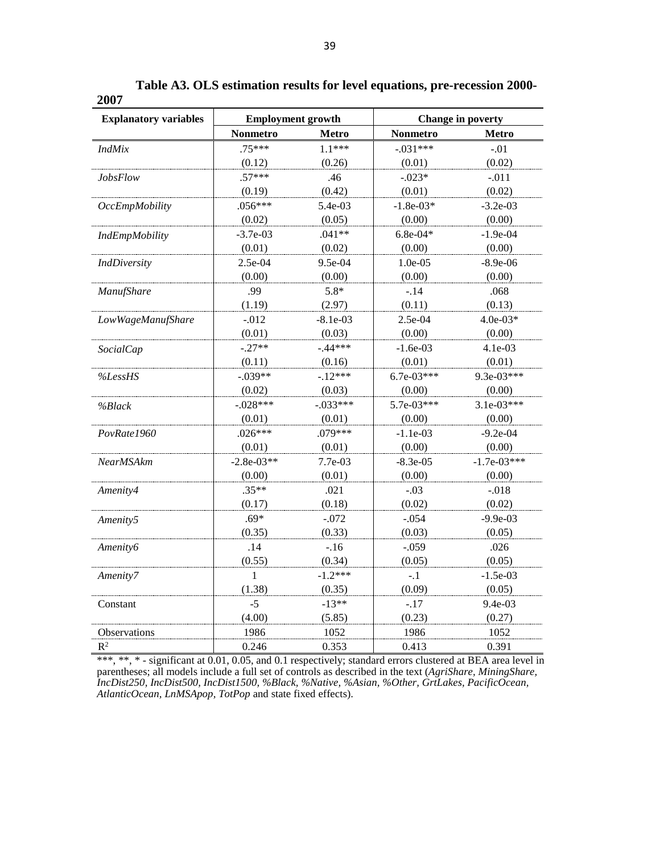| <b>Explanatory variables</b> | <b>Employment growth</b> |              | <b>Change in poverty</b> |               |  |
|------------------------------|--------------------------|--------------|--------------------------|---------------|--|
|                              | <b>Nonmetro</b>          | <b>Metro</b> | Nonmetro                 | <b>Metro</b>  |  |
| <i>IndMix</i>                | $.75***$                 | $1.1***$     | $-.031***$               | $-.01$        |  |
|                              | (0.12)                   | (0.26)       | (0.01)                   | (0.02)        |  |
| <i>JobsFlow</i>              | $.57***$                 | .46          | $-.023*$                 | $-.011$       |  |
|                              | (0.19)                   | (0.42)       | (0.01)                   | (0.02)        |  |
| <b>OccEmpMobility</b>        | $.056***$                | 5.4e-03      | $-1.8e-03*$              | $-3.2e-03$    |  |
|                              | (0.02)                   | (0.05)       | (0.00)                   | (0.00)        |  |
| IndEmpMobility               | $-3.7e-03$               | $.041**$     | $6.8e-04*$               | $-1.9e-04$    |  |
|                              | (0.01)                   | (0.02)       | (0.00)                   | (0.00)        |  |
| <b>IndDiversity</b>          | 2.5e-04                  | 9.5e-04      | $1.0e-0.5$               | $-8.9e-06$    |  |
|                              | (0.00)                   | (0.00)       | (0.00)                   | (0.00)        |  |
| ManufShare                   | .99                      | $5.8*$       | $-.14$                   | .068          |  |
|                              | (1.19)                   | (2.97)       | (0.11)                   | (0.13)        |  |
| LowWageManufShare            | $-0.012$                 | $-8.1e-03$   | 2.5e-04                  | $4.0e-03*$    |  |
|                              | (0.01)                   | (0.03)       | (0.00)                   | (0.00)        |  |
| <b>SocialCap</b>             | $-.27**$                 | $-.44***$    | $-1.6e-03$               | 4.1e-03       |  |
|                              | (0.11)                   | (0.16)       | (0.01)                   | (0.01)        |  |
| %LessHS                      | $-.039**$                | $-.12***$    | $6.7e-03***$             | 9.3e-03***    |  |
|                              | (0.02)                   | (0.03)       | (0.00)                   | (0.00)        |  |
| %Black                       | $-.028***$               | $-.033***$   | 5.7e-03***               | $3.1e-03***$  |  |
|                              | (0.01)                   | (0.01)       | (0.00)                   | (0.00)        |  |
| PovRate1960                  | $.026***$                | .079***      | $-1.1e-03$               | $-9.2e-04$    |  |
|                              | (0.01)                   | (0.01)       | (0.00)                   | (0.00)        |  |
| NearMSAkm                    | $-2.8e-03**$             | $7.7e-03$    | $-8.3e-05$               | $-1.7e-03***$ |  |
|                              | (0.00)                   | (0.01)       | (0.00)                   | (0.00)        |  |
| Amenity4                     | $.35**$                  | .021         | $-.03$                   | $-.018$       |  |
|                              | (0.17)                   | (0.18)       | (0.02)                   | (0.02)        |  |
| Amenity5                     | $.69*$                   | $-.072$      | $-.054$                  | $-9.9e-03$    |  |
|                              | (0.35)                   | (0.33)       | (0.03)                   | (0.05)        |  |
| Amenity6                     | .14                      | $-.16$       | $-.059$                  | .026          |  |
|                              | (0.55)                   | (0.34)       | (0.05)                   | (0.05)        |  |
| Amenity7                     | 1                        | $-1.2***$    | $-.1$                    | $-1.5e-03$    |  |
|                              | (1.38)                   | (0.35)       | (0.09)                   | (0.05)        |  |
| Constant                     | $-5$                     | $-13**$      | $-.17$                   | $9.4e-03$     |  |
|                              | (4.00)                   | (5.85)       | (0.23)                   | (0.27)        |  |
| Observations                 | 1986                     | 1052         | 1986                     | 1052          |  |
| $R^2$                        | 0.246                    | 0.353        | 0.413                    | 0.391         |  |

**Table A3. OLS estimation results for level equations, pre-recession 2000- 2007**

\*\*\*, \*\*, \* - significant at 0.01, 0.05, and 0.1 respectively; standard errors clustered at BEA area level in parentheses; all models include a full set of controls as described in the text (*AgriShare, MiningShare, IncDist250, IncDist500, IncDist1500, %Black, %Native, %Asian, %Other, GrtLakes, PacificOcean, AtlanticOcean, LnMSApop, TotPop* and state fixed effects).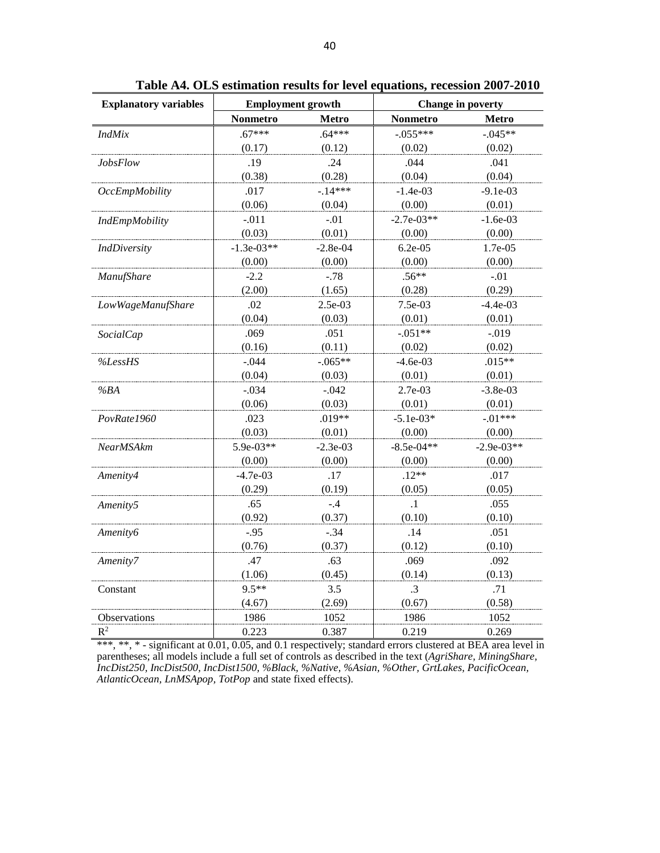| <b>Explanatory variables</b> | <b>Employment growth</b> |            | <b>Change in poverty</b> |              |  |
|------------------------------|--------------------------|------------|--------------------------|--------------|--|
|                              | <b>Nonmetro</b>          | Metro      | <b>Nonmetro</b>          | <b>Metro</b> |  |
| <b>IndMix</b>                | $.67***$                 | $.64***$   | $-.055***$               | $-.045**$    |  |
|                              | (0.17)                   | (0.12)     | (0.02)                   | (0.02)       |  |
| <b>JobsFlow</b>              | .19                      | .24        | .044                     | .041         |  |
|                              | (0.38)                   | (0.28)     | (0.04)                   | (0.04)       |  |
| <b>OccEmpMobility</b>        | .017                     | $-14***$   | $-1.4e-03$               | $-9.1e-03$   |  |
|                              | (0.06)                   | (0.04)     | (0.00)                   | (0.01)       |  |
| IndEmpMobility               | $-.011$                  | $-.01$     | $-2.7e-03**$             | $-1.6e-03$   |  |
|                              | (0.03)                   | (0.01)     | (0.00)                   | (0.00)       |  |
| <b>IndDiversity</b>          | $-1.3e-03**$             | $-2.8e-04$ | $6.2e-05$                | 1.7e-05      |  |
|                              | (0.00)                   | (0.00)     | (0.00)                   | (0.00)       |  |
| ManufShare                   | $-2.2$                   | $-.78$     | $.56**$                  | $-.01$       |  |
|                              | (2.00)                   | (1.65)     | (0.28)                   | (0.29)       |  |
| LowWageManufShare            | .02                      | 2.5e-03    | 7.5e-03                  | $-4.4e-03$   |  |
|                              | (0.04)                   | (0.03)     | (0.01)                   | (0.01)       |  |
| <b>SocialCap</b>             | .069                     | .051       | $-.051**$                | $-.019$      |  |
|                              | (0.16)                   | (0.11)     | (0.02)                   | (0.02)       |  |
| %LessHS                      | $-.044$                  | $-.065**$  | $-4.6e-03$               | $.015**$     |  |
|                              | (0.04)                   | (0.03)     | (0.01)                   | (0.01)       |  |
| %BA                          | $-.034$                  | $-.042$    | 2.7e-03                  | $-3.8e-03$   |  |
|                              | (0.06)                   | (0.03)     | (0.01)                   | (0.01)       |  |
| PovRate1960                  | .023                     | $.019**$   | $-5.1e-03*$              | $-.01***$    |  |
|                              | (0.03)                   | (0.01)     | (0.00)                   | (0.00)       |  |
| <b>NearMSAkm</b>             | 5.9e-03**                | $-2.3e-03$ | $-8.5e-04**$             | $-2.9e-03**$ |  |
|                              | (0.00)                   | (0.00)     | (0.00)                   | (0.00)       |  |
| Amenity4                     | $-4.7e-03$               | .17        | $.12**$                  | .017         |  |
|                              | (0.29)                   | (0.19)     | (0.05)                   | (0.05)       |  |
| Amenity5                     | .65                      | $-.4$      | $\cdot$ 1                | .055         |  |
|                              | (0.92)                   | (0.37)     | (0.10)                   | (0.10)       |  |
| Amenity6                     | $-.95$                   | $-.34$     | .14                      | .051         |  |
|                              | (0.76)                   | (0.37)     | (0.12)                   | (0.10)       |  |
| Amenity7                     | .47                      | .63        | .069                     | .092         |  |
|                              | (1.06)                   | (0.45)     | (0.14)                   | (0.13)       |  |
| Constant                     | $9.5**$                  | 3.5        | $\cdot$ 3                | .71          |  |
|                              | (4.67)                   | (2.69)     | (0.67)                   | (0.58)       |  |
| Observations                 | 1986                     | 1052       | 1986                     | 1052         |  |
| $R^2$                        | 0.223                    | 0.387      | 0.219                    | 0.269        |  |

**Table A4. OLS estimation results for level equations, recession 2007-2010**

\*\*\*, \*\*, \* - significant at 0.01, 0.05, and 0.1 respectively; standard errors clustered at BEA area level in parentheses; all models include a full set of controls as described in the text (*AgriShare, MiningShare, IncDist250, IncDist500, IncDist1500, %Black, %Native, %Asian, %Other, GrtLakes, PacificOcean, AtlanticOcean, LnMSApop, TotPop* and state fixed effects).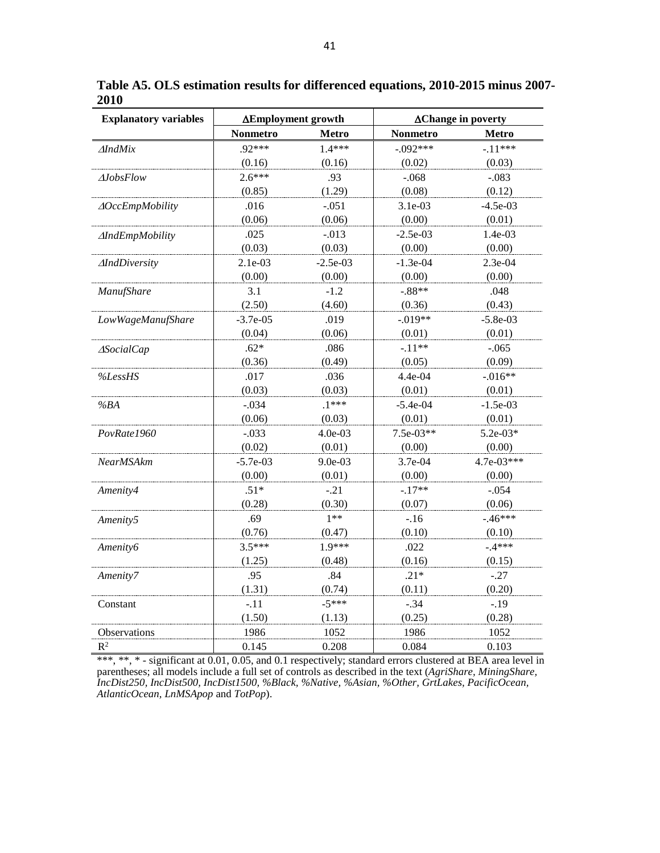| <b>Explanatory variables</b> | ∆Employment growth |              | $\Delta$ Change in poverty |              |  |
|------------------------------|--------------------|--------------|----------------------------|--------------|--|
|                              | <b>Nonmetro</b>    | <b>Metro</b> | <b>Nonmetro</b>            | <b>Metro</b> |  |
| $\triangle IndMix$           | $.92***$           | $1.4***$     | $-.092***$                 | $-.11***$    |  |
|                              | (0.16)             | (0.16)       | (0.02)                     | (0.03)       |  |
| $\Delta$ <i>JobsFlow</i>     | $2.6***$           | .93          | $-.068$                    | $-.083$      |  |
|                              | (0.85)             | (1.29)       | (0.08)                     | (0.12)       |  |
| <b>AOccEmpMobility</b>       | .016               | $-.051$      | 3.1e-03                    | $-4.5e-03$   |  |
|                              | (0.06)             | (0.06)       | (0.00)                     | (0.01)       |  |
| <b>AIndEmpMobility</b>       | .025               | $-.013$      | $-2.5e-03$                 | 1.4e-03      |  |
|                              | (0.03)             | (0.03)       | (0.00)                     | (0.00)       |  |
| <b>AIndDiversity</b>         | 2.1e-03            | $-2.5e-03$   | $-1.3e-04$                 | 2.3e-04      |  |
|                              | (0.00)             | (0.00)       | (0.00)                     | (0.00)       |  |
| <b>ManufShare</b>            | 3.1                | $-1.2$       | $-.88**$                   | .048         |  |
|                              | (2.50)             | (4.60)       | (0.36)                     | (0.43)       |  |
| LowWageManufShare            | $-3.7e-05$         | .019         | $-.019**$                  | $-5.8e-03$   |  |
|                              | (0.04)             | (0.06)       | (0.01)                     | (0.01)       |  |
| <b>ASocialCap</b>            | $.62*$             | .086         | $-.11**$                   | $-.065$      |  |
|                              | (0.36)             | (0.49)       | (0.05)                     | (0.09)       |  |
| %LessHS                      | .017               | .036         | 4.4e-04                    | $-.016**$    |  |
|                              | (0.03)             | (0.03)       | (0.01)                     | (0.01)       |  |
| %BA                          | $-.034$            | $.1***$      | $-5.4e-04$                 | $-1.5e-03$   |  |
|                              | (0.06)             | (0.03)       | (0.01)                     | (0.01)       |  |
| PovRate1960                  | $-.033$            | 4.0e-03      | $7.5e-03**$                | $5.2e-03*$   |  |
|                              | (0.02)             | (0.01)       | (0.00)                     | (0.00)       |  |
| <b>NearMSAkm</b>             | $-5.7e-03$         | 9.0e-03      | 3.7e-04                    | $4.7e-03***$ |  |
|                              | (0.00)             | (0.01)       | (0.00)                     | (0.00)       |  |
| Amenity4                     | $.51*$             | $-.21$       | $-.17**$                   | $-.054$      |  |
|                              | (0.28)             | (0.30)       | (0.07)                     | (0.06)       |  |
| Amenity5                     | .69                | $1**$        | $-.16$                     | $-46***$     |  |
|                              | (0.76)             | (0.47)       | (0.10)                     | (0.10)       |  |
| <i>Amenity6</i>              | $3.5***$           | 1.9***       | .022                       | $-4***$      |  |
|                              | (1.25)             | (0.48)       | (0.16)                     | (0.15)       |  |
| Amenity7                     | .95                | .84          | $.21*$                     | $-.27$       |  |
|                              | (1.31)             | (0.74)       | (0.11)                     | (0.20)       |  |
| Constant                     | $-.11$             | $-5***$      | $-.34$                     | $-.19$       |  |
|                              | (1.50)             | (1.13)       | (0.25)                     | (0.28)       |  |
| Observations                 | 1986               | 1052         | 1986                       | 1052         |  |
| $R^2$                        | 0.145              | 0.208        | 0.084                      | 0.103        |  |

**Table A5. OLS estimation results for differenced equations, 2010-2015 minus 2007- 2010**

\*\*\*, \*\*, \* - significant at 0.01, 0.05, and 0.1 respectively; standard errors clustered at BEA area level in parentheses; all models include a full set of controls as described in the text (*AgriShare, MiningShare, IncDist250, IncDist500, IncDist1500, %Black, %Native, %Asian, %Other, GrtLakes, PacificOcean, AtlanticOcean, LnMSApop* and *TotPop*).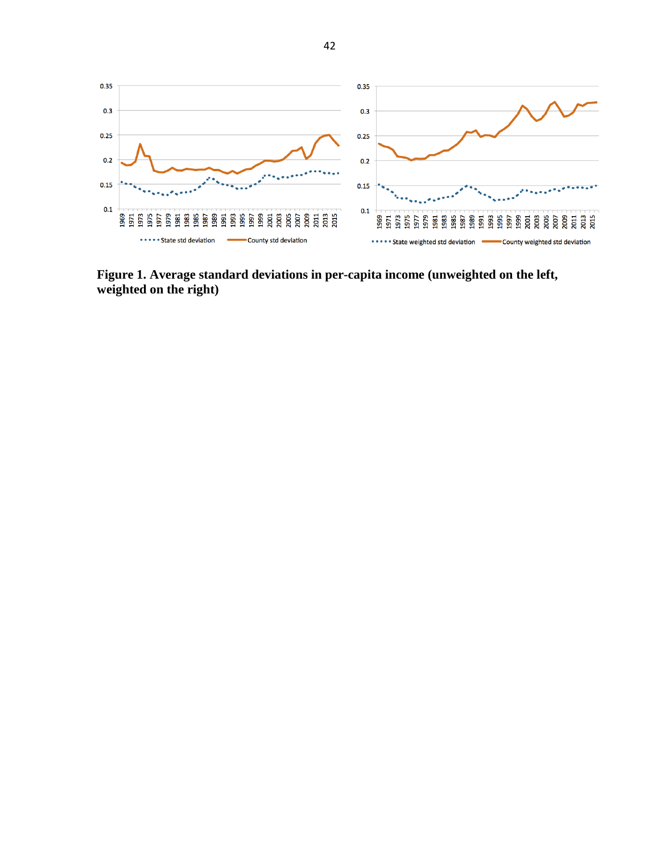

**Figure 1. Average standard deviations in per-capita income (unweighted on the left, weighted on the right)**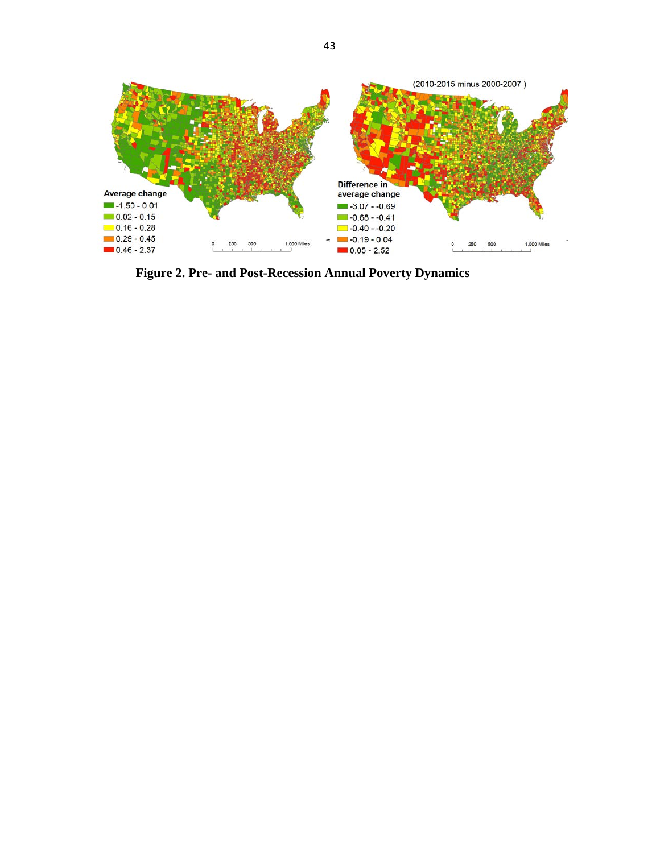

**Figure 2. Pre- and Post-Recession Annual Poverty Dynamics**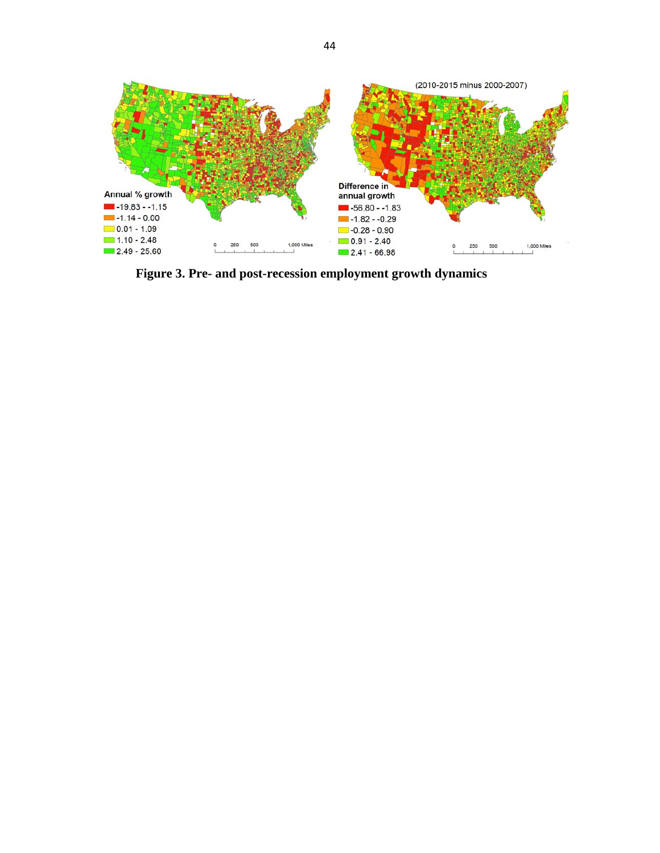

**Figure 3. Pre- and post-recession employment growth dynamics**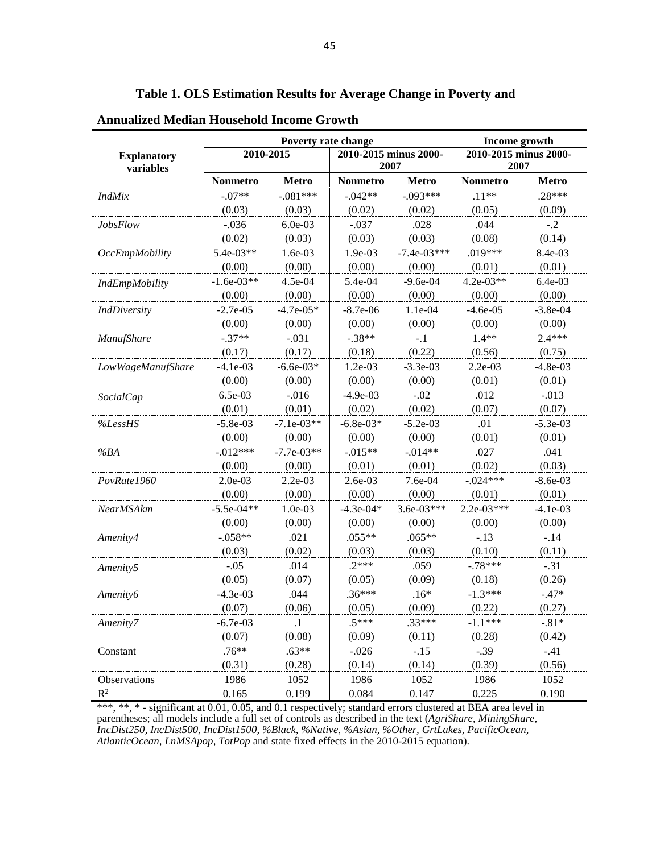|                                 |                 | Poverty rate change | Income growth                 |               |                               |            |
|---------------------------------|-----------------|---------------------|-------------------------------|---------------|-------------------------------|------------|
| <b>Explanatory</b><br>variables |                 | 2010-2015           | 2010-2015 minus 2000-<br>2007 |               | 2010-2015 minus 2000-<br>2007 |            |
|                                 | <b>Nonmetro</b> | Metro               | <b>Nonmetro</b>               | <b>Metro</b>  | Nonmetro                      | Metro      |
| <i>IndMix</i>                   | $-.07**$        | $-.081***$          | $-.042**$                     | $-.093***$    | $.11**$                       | $.28***$   |
|                                 | (0.03)          | (0.03)              | (0.02)                        | (0.02)        | (0.05)                        | (0.09)     |
| JobsFlow                        | $-.036$         | $6.0e-03$           | $-.037$                       | .028          | .044                          | $-.2$      |
|                                 | (0.02)          | (0.03)              | (0.03)                        | (0.03)        | (0.08)                        | (0.14)     |
| <b>OccEmpMobility</b>           | $5.4e-03**$     | 1.6e-03             | 1.9e-03                       | $-7.4e-03***$ | .019***                       | 8.4e-03    |
|                                 | (0.00)          | (0.00)              | (0.00)                        | (0.00)        | (0.01)                        | (0.01)     |
| <b>IndEmpMobility</b>           | $-1.6e-03**$    | 4.5e-04             | 5.4e-04                       | $-9.6e-04$    | $4.2e-03**$                   | 6.4e-03    |
|                                 | (0.00)          | (0.00)              | (0.00)                        | (0.00)        | (0.00)                        | (0.00)     |
| <b>IndDiversity</b>             | $-2.7e-05$      | $-4.7e-05*$         | $-8.7e-06$                    | 1.1e-04       | $-4.6e-05$                    | $-3.8e-04$ |
|                                 | (0.00)          | (0.00)              | (0.00)                        | (0.00)        | (0.00)                        | (0.00)     |
| <b>ManufShare</b>               | $-.37**$        | $-.031$             | $-.38**$                      | $-.1$         | $1.4**$                       | $2.4***$   |
|                                 | (0.17)          | (0.17)              | (0.18)                        | (0.22)        | (0.56)                        | (0.75)     |
| LowWageManufShare               | $-4.1e-03$      | $-6.6e-03*$         | 1.2e-03                       | $-3.3e-03$    | 2.2e-03                       | $-4.8e-03$ |
|                                 | (0.00)          | (0.00)              | (0.00)                        | (0.00)        | (0.01)                        | (0.01)     |
| <b>SocialCap</b>                | 6.5e-03         | $-.016$             | $-4.9e-03$                    | $-.02$        | .012                          | $-.013$    |
|                                 | (0.01)          | (0.01)              | (0.02)                        | (0.02)        | (0.07)                        | (0.07)     |
| %LessHS                         | $-5.8e-03$      | $-7.1e-03**$        | $-6.8e-03*$                   | $-5.2e-03$    | .01                           | $-5.3e-03$ |
|                                 | (0.00)          | (0.00)              | (0.00)                        | (0.00)        | (0.01)                        | (0.01)     |
| %BA                             | $-0.012***$     | $-7.7e-03**$        | $-0.015**$                    | $-.014**$     | .027                          | .041       |
|                                 | (0.00)          | (0.00)              | (0.01)                        | (0.01)        | (0.02)                        | (0.03)     |
| PovRate1960                     | 2.0e-03         | 2.2e-03             | 2.6e-03                       | 7.6e-04       | $-.024***$                    | $-8.6e-03$ |
|                                 | (0.00)          | (0.00)              | (0.00)                        | (0.00)        | (0.01)                        | (0.01)     |
| NearMSAkm                       | $-5.5e-04**$    | 1.0e-03             | $-4.3e-04*$                   | $3.6e-03***$  | $2.2e-03***$                  | $-4.1e-03$ |
|                                 | (0.00)          | (0.00)              | (0.00)                        | (0.00)        | (0.00)                        | (0.00)     |
| Amenity4                        | $-.058**$       | .021                | $.055**$                      | $.065**$      | $-.13$                        | $-.14$     |
|                                 | (0.03)          | (0.02)              | (0.03)                        | (0.03)        | (0.10)                        | (0.11)     |
| Amenity <sub>5</sub>            | $-.05$          | .014                | $.2***$                       | .059          | $-.78***$                     | $-.31$     |
|                                 | (0.05)          | (0.07)              | (0.05)                        | (0.09)        | (0.18)                        | (0.26)     |
| Amenity6                        | $-4.3e-03$      | .044                | $.36***$                      | $.16*$        | $-1.3***$                     | $-.47*$    |
|                                 | (0.07)          | (0.06)              | (0.05)                        | (0.09)        | (0.22)                        | (0.27)     |
| Amenity7                        | $-6.7e-03$      | $\cdot$             | $.5***$                       | .33***        | $-1.1***$                     | $-.81*$    |
|                                 | (0.07)          | (0.08)              | (0.09)                        | (0.11)        | (0.28)                        | (0.42)     |
| Constant                        | $.76**$         | $.63**$             | $-0.026$                      | $-.15$        | $-.39$                        | $-.41$     |
|                                 | (0.31)          | (0.28)              | (0.14)                        | (0.14)        | (0.39)                        | (0.56)     |
| Observations                    | 1986            | 1052                | 1986                          | 1052          | 1986                          | 1052       |
| $R^2$                           | 0.165           | 0.199               | 0.084                         | 0.147         | 0.225                         | 0.190      |

**Table 1. OLS Estimation Results for Average Change in Poverty and** 

**Annualized Median Household Income Growth**

\*\*\*, \*\*, \* - significant at 0.01, 0.05, and 0.1 respectively; standard errors clustered at BEA area level in parentheses; all models include a full set of controls as described in the text (*AgriShare, MiningShare, IncDist250, IncDist500, IncDist1500, %Black, %Native, %Asian, %Other, GrtLakes, PacificOcean, AtlanticOcean, LnMSApop, TotPop* and state fixed effects in the 2010-2015 equation).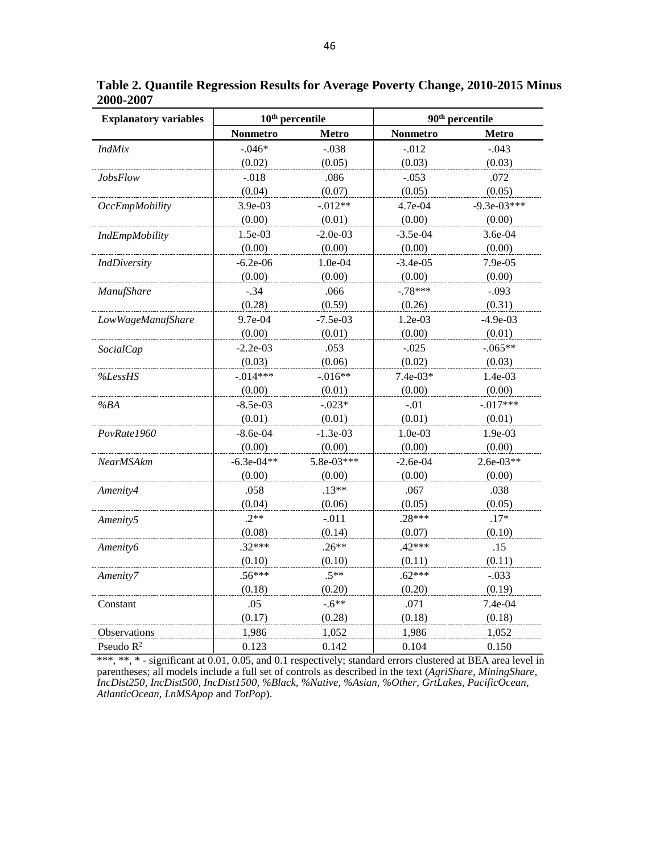| <b>Explanatory variables</b> |              | $10th$ percentile | 90 <sup>th</sup> percentile |               |  |
|------------------------------|--------------|-------------------|-----------------------------|---------------|--|
|                              | Nonmetro     | <b>Metro</b>      | Nonmetro                    | <b>Metro</b>  |  |
| <b>IndMix</b>                | $-.046*$     | $-.038$           | $-.012$                     | $-.043$       |  |
|                              | (0.02)       | (0.05)            | (0.03)                      | (0.03)        |  |
| <b>JobsFlow</b>              | $-.018$      | .086              | $-.053$                     | .072          |  |
|                              | (0.04)       | (0.07)            | (0.05)                      | (0.05)        |  |
| <b>OccEmpMobility</b>        | 3.9e-03      | $-.012**$         | 4.7e-04                     | $-9.3e-03***$ |  |
|                              | (0.00)       | (0.01)            | (0.00)                      | (0.00)        |  |
| IndEmpMobility               | 1.5e-03      | $-2.0e-03$        | $-3.5e-04$                  | 3.6e-04       |  |
|                              | (0.00)       | (0.00)            | (0.00)                      | (0.00)        |  |
| <b>IndDiversity</b>          | $-6.2e-06$   | 1.0e-04           | $-3.4e-05$                  | 7.9e-05       |  |
|                              | (0.00)       | (0.00)            | (0.00)                      | (0.00)        |  |
| ManufShare                   | $-.34$       | .066              | $-.78***$                   | $-.093$       |  |
|                              | (0.28)       | (0.59)            | (0.26)                      | (0.31)        |  |
| LowWageManufShare            | 9.7e-04      | $-7.5e-03$        | 1.2e-03                     | $-4.9e-03$    |  |
|                              | (0.00)       | (0.01)            | (0.00)                      | (0.01)        |  |
| <b>SocialCap</b>             | $-2.2e-03$   | .053              | $-.025$                     | $-.065**$     |  |
|                              | (0.03)       | (0.06)            | (0.02)                      | (0.03)        |  |
| %LessHS                      | $-.014***$   | $-.016**$         | $7.4e-03*$                  | 1.4e-03       |  |
|                              | (0.00)       | (0.01)            | (0.00)                      | (0.00)        |  |
| %BA                          | $-8.5e-03$   | $-.023*$          | $-.01$                      | $-.017***$    |  |
|                              | (0.01)       | (0.01)            | (0.01)                      | (0.01)        |  |
| PovRate1960                  | $-8.6e-04$   | $-1.3e-03$        | 1.0e-03                     | 1.9e-03       |  |
|                              | (0.00)       | (0.00)            | (0.00)                      | (0.00)        |  |
| <b>NearMSAkm</b>             | $-6.3e-04**$ | 5.8e-03***        | $-2.6e-04$                  | $2.6e-03**$   |  |
|                              | (0.00)       | (0.00)            | (0.00)                      | (0.00)        |  |
| Amenity4                     | .058         | $.13**$           | .067                        | .038          |  |
|                              | (0.04)       | (0.06)            | (0.05)                      | (0.05)        |  |
| Amenity5                     | $.2**$       | $-.011$           | $.28***$                    | $.17*$        |  |
|                              | (0.08)       | (0.14)            | (0.07)                      | (0.10)        |  |
| <i>Amenity6</i>              | $.32***$     | $.26**$           | $.42***$                    | .15           |  |
|                              | (0.10)       | (0.10)            | (0.11)                      | (0.11)        |  |
| Amenity7                     | $.56***$     | $.5**$            | $.62***$                    | $-.033$       |  |
|                              | (0.18)       | (0.20)            | (0.20)                      | (0.19)        |  |
| Constant                     | .05          | $-6**$            | .071                        | 7.4e-04       |  |
|                              | (0.17)       | (0.28)            | (0.18)                      | (0.18)        |  |
| Observations                 | 1,986        | 1,052             | 1,986                       | 1,052         |  |
| Pseudo $R^2$                 | 0.123        | 0.142             | 0.104                       | 0.150         |  |

**Table 2. Quantile Regression Results for Average Poverty Change, 2010-2015 Minus 2000-2007**

\*\*\*, \*\*, \* - significant at 0.01, 0.05, and 0.1 respectively; standard errors clustered at BEA area level in parentheses; all models include a full set of controls as described in the text (*AgriShare, MiningShare, IncDist250, IncDist500, IncDist1500, %Black, %Native, %Asian, %Other, GrtLakes, PacificOcean, AtlanticOcean, LnMSApop* and *TotPop*).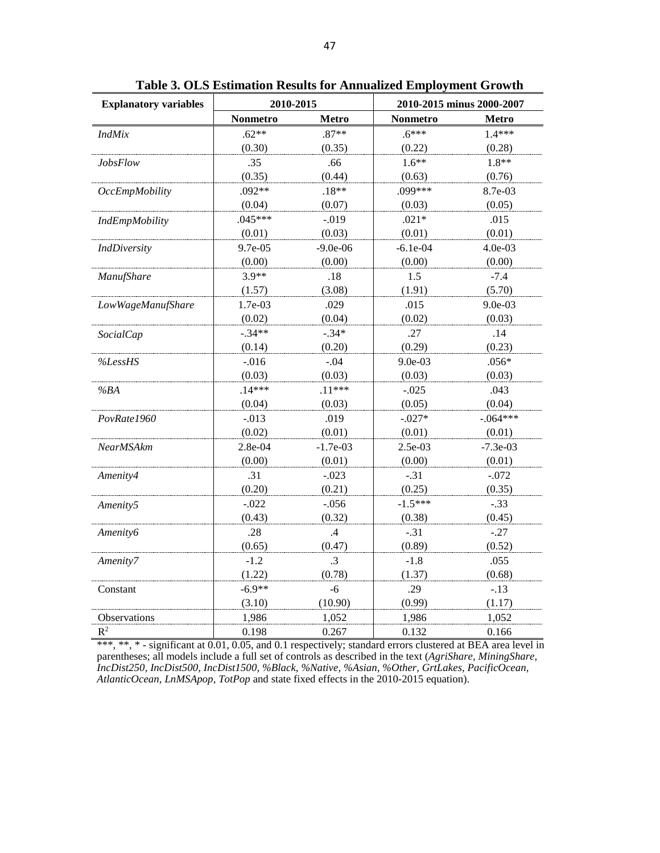| <b>Explanatory variables</b> | 2010-2015 |               | 2010-2015 minus 2000-2007 |              |  |
|------------------------------|-----------|---------------|---------------------------|--------------|--|
|                              | Nonmetro  | <b>Metro</b>  | <b>Nonmetro</b>           | <b>Metro</b> |  |
| <b>IndMix</b>                | $.62**$   | $.87**$       | $.6***$                   | $1.4***$     |  |
|                              | (0.30)    | (0.35)        | (0.22)                    | (0.28)       |  |
| <b>JobsFlow</b>              | .35       | .66           | $1.6**$                   | $1.8**$      |  |
|                              | (0.35)    | (0.44)        | (0.63)                    | (0.76)       |  |
| <b>OccEmpMobility</b>        | $.092**$  | $.18**$       | .099***                   | 8.7e-03      |  |
|                              | (0.04)    | (0.07)        | (0.03)                    | (0.05)       |  |
| <b>IndEmpMobility</b>        | $.045***$ | $-.019$       | $.021*$                   | .015         |  |
|                              | (0.01)    | (0.03)        | (0.01)                    | (0.01)       |  |
| <b>IndDiversity</b>          | 9.7e-05   | $-9.0e-06$    | $-6.1e-04$                | 4.0e-03      |  |
|                              | (0.00)    | (0.00)        | (0.00)                    | (0.00)       |  |
| ManufShare                   | $3.9**$   | .18           | 1.5                       | $-7.4$       |  |
|                              | (1.57)    | (3.08)        | (1.91)                    | (5.70)       |  |
| LowWageManufShare            | 1.7e-03   | .029          | .015                      | 9.0e-03      |  |
|                              | (0.02)    | (0.04)        | (0.02)                    | (0.03)       |  |
| <b>SocialCap</b>             | $-.34**$  | $-.34*$       | .27                       | .14          |  |
|                              | (0.14)    | (0.20)        | (0.29)                    | (0.23)       |  |
| %LessHS                      | $-.016$   | $-.04$        | 9.0e-03                   | $.056*$      |  |
|                              | (0.03)    | (0.03)        | (0.03)                    | (0.03)       |  |
| %BA                          | $.14***$  | $.11***$      | $-.025$                   | .043         |  |
|                              | (0.04)    | (0.03)        | (0.05)                    | (0.04)       |  |
| PovRate1960                  | $-.013$   | .019          | $-.027*$                  | $-.064***$   |  |
|                              | (0.02)    | (0.01)        | (0.01)                    | (0.01)       |  |
| <b>NearMSAkm</b>             | 2.8e-04   | $-1.7e-03$    | 2.5e-03                   | $-7.3e-03$   |  |
|                              | (0.00)    | (0.01)        | (0.00)                    | (0.01)       |  |
| Amenity4                     | .31       | $-.023$       | $-.31$                    | $-.072$      |  |
|                              | (0.20)    | (0.21)        | (0.25)                    | (0.35)       |  |
| Amenity5                     | $-.022$   | $-.056$       | $-1.5***$                 | $-.33$       |  |
|                              | (0.43)    | (0.32)        | (0.38)                    | (0.45)       |  |
| Amenity6                     | .28       | $\mathcal{A}$ | $-.31$                    | $-.27$       |  |
|                              | (0.65)    | (0.47)        | (0.89)                    | (0.52)       |  |
| Amenity7                     | $-1.2$    | $\cdot$ 3     | $-1.8$                    | .055         |  |
|                              | (1.22)    | (0.78)        | (1.37)                    | (0.68)       |  |
| Constant                     | $-6.9**$  | $-6$          | .29                       | $-.13$       |  |
|                              | (3.10)    | (10.90)       | (0.99)                    | (1.17)       |  |
| Observations                 | 1,986     | 1,052         | 1,986                     | 1,052        |  |
| $R^2$                        | 0.198     | 0.267         | 0.132                     | 0.166        |  |

**Table 3. OLS Estimation Results for Annualized Employment Growth**

\*\*\*, \*\*, \* - significant at 0.01, 0.05, and 0.1 respectively; standard errors clustered at BEA area level in parentheses; all models include a full set of controls as described in the text (*AgriShare, MiningShare, IncDist250, IncDist500, IncDist1500, %Black, %Native, %Asian, %Other, GrtLakes, PacificOcean, AtlanticOcean, LnMSApop, TotPop* and state fixed effects in the 2010-2015 equation).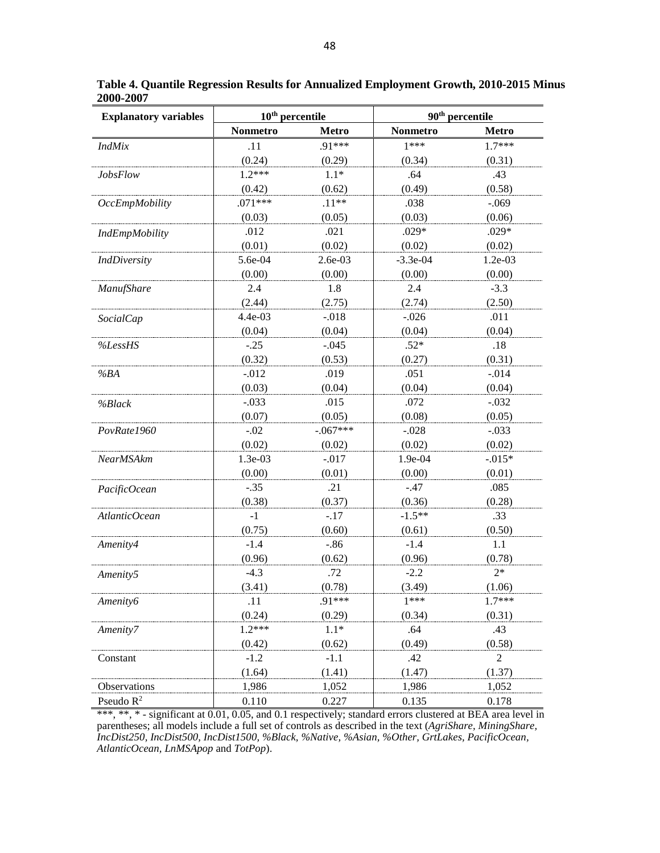| <b>Explanatory variables</b> | $10th$ percentile |              | 90 <sup>th</sup> percentile |                |  |
|------------------------------|-------------------|--------------|-----------------------------|----------------|--|
|                              | <b>Nonmetro</b>   | <b>Metro</b> | Nonmetro                    | <b>Metro</b>   |  |
| <b>IndMix</b>                | .11               | .91***       | $1***$                      | $1.7***$       |  |
|                              | (0.24)            | (0.29)       | (0.34)                      | (0.31)         |  |
| <b>JobsFlow</b>              | $1.2***$          | $1.1*$       | .64                         | .43            |  |
|                              | (0.42)            | (0.62)       | (0.49)                      | (0.58)         |  |
| <b>OccEmpMobility</b>        | $.071***$         | $.11**$      | .038                        | $-.069$        |  |
|                              | (0.03)            | (0.05)       | (0.03)                      | (0.06)         |  |
| IndEmpMobility               | .012              | .021         | $.029*$                     | $.029*$        |  |
|                              | (0.01)            | (0.02)       | (0.02)                      | (0.02)         |  |
| <b>IndDiversity</b>          | 5.6e-04           | $2.6e-03$    | $-3.3e-04$                  | 1.2e-03        |  |
|                              | (0.00)            | (0.00)       | (0.00)                      | (0.00)         |  |
| ManufShare                   | 2.4               | 1.8          | 2.4                         | $-3.3$         |  |
|                              | (2.44)            | (2.75)       | (2.74)                      | (2.50)         |  |
| <b>SocialCap</b>             | 4.4e-03           | $-.018$      | $-.026$                     | .011           |  |
|                              | (0.04)            | (0.04)       | (0.04)                      | (0.04)         |  |
| %LessHS                      | $-.25$            | $-.045$      | $.52*$                      | .18            |  |
|                              | (0.32)            | (0.53)       | (0.27)                      | (0.31)         |  |
| %BA                          | $-0.012$          | .019         | .051                        | $-.014$        |  |
|                              | (0.03)            | (0.04)       | (0.04)                      | (0.04)         |  |
| %Black                       | $-.033$           | .015         | .072                        | $-.032$        |  |
|                              | (0.07)            | (0.05)       | (0.08)                      | (0.05)         |  |
| PovRate1960                  | $-.02$            | $-.067***$   | $-.028$                     | $-.033$        |  |
|                              | (0.02)            | (0.02)       | (0.02)                      | (0.02)         |  |
| NearMSAkm                    | 1.3e-03           | $-.017$      | 1.9e-04                     | $-0.015*$      |  |
|                              | (0.00)            | (0.01)       | (0.00)                      | (0.01)         |  |
| PacificOcean                 | $-.35$            | .21          | $-.47$                      | .085           |  |
|                              | (0.38)            | (0.37)       | (0.36)                      | (0.28)         |  |
| AtlanticOcean                | -1                | $-.17$       | $-1.5**$                    | .33            |  |
|                              | (0.75)            | (0.60)       | (0.61)                      | (0.50)         |  |
| Amenity4                     | $-1.4$            | $-.86$       | $-1.4$                      | 1.1            |  |
|                              | (0.96)            | (0.62)       | (0.96)                      | (0.78)         |  |
|                              | $-4.3$            | .72          | $-2.2$                      | $2*$           |  |
| Amenity5                     | (3.41)            | (0.78)       | (3.49)                      | (1.06)         |  |
| Amenity6                     | .11               | .91***       | $1***$                      | $1.7***$       |  |
|                              | (0.24)            | (0.29)       | (0.34)                      | (0.31)         |  |
| Amenity7                     | $1.2***$          | $1.1*$       | .64                         | .43            |  |
|                              | (0.42)            | (0.62)       | (0.49)                      | (0.58)         |  |
|                              |                   |              |                             |                |  |
| Constant                     | $-1.2$            | $-1.1$       | .42                         | $\overline{c}$ |  |
|                              | (1.64)            | (1.41)       | (1.47)                      | (1.37)         |  |
| Observations                 | 1,986             | 1,052        | 1,986                       | 1,052          |  |
| Pseudo $R^2$                 | 0.110             | 0.227        | 0.135                       | 0.178          |  |

**Table 4. Quantile Regression Results for Annualized Employment Growth, 2010-2015 Minus 2000-2007**

\*\*\*, \*\*, \* - significant at 0.01, 0.05, and 0.1 respectively; standard errors clustered at BEA area level in parentheses; all models include a full set of controls as described in the text (*AgriShare, MiningShare, IncDist250, IncDist500, IncDist1500, %Black, %Native, %Asian, %Other, GrtLakes, PacificOcean, AtlanticOcean, LnMSApop* and *TotPop*).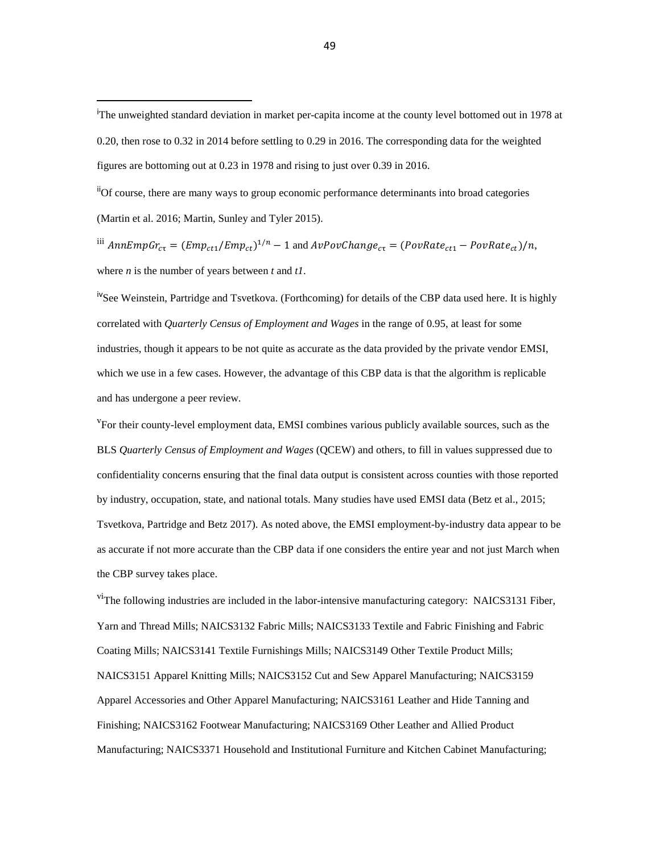iiOf course, there are many ways to group economic performance determinants into broad categories (Martin et al. 2016; Martin, Sunley and Tyler 2015).

<sup>iii</sup>  $AnnEmpGr_{c\tau} = (Emp_{ct1}/Emp_{ct})^{1/n} - 1$  and  $AvPowChange_{c\tau} = (PowRate_{ct1} - PowRate_{ct})/n$ , where *n* is the number of years between *t* and *t1*.

<sup>iv</sup>See Weinstein, Partridge and Tsvetkova. (Forthcoming) for details of the CBP data used here. It is highly correlated with *Quarterly Census of Employment and Wages* in the range of 0.95, at least for some industries, though it appears to be not quite as accurate as the data provided by the private vendor EMSI, which we use in a few cases. However, the advantage of this CBP data is that the algorithm is replicable and has undergone a peer review.

<sup>v</sup>For their county-level employment data, EMSI combines various publicly available sources, such as the BLS *Quarterly Census of Employment and Wages* (QCEW) and others, to fill in values suppressed due to confidentiality concerns ensuring that the final data output is consistent across counties with those reported by industry, occupation, state, and national totals. Many studies have used EMSI data (Betz et al., 2015; Tsvetkova, Partridge and Betz 2017). As noted above, the EMSI employment-by-industry data appear to be as accurate if not more accurate than the CBP data if one considers the entire year and not just March when the CBP survey takes place.

 $v^i$ The following industries are included in the labor-intensive manufacturing category: NAICS3131 Fiber, Yarn and Thread Mills; NAICS3132 Fabric Mills; NAICS3133 Textile and Fabric Finishing and Fabric Coating Mills; NAICS3141 Textile Furnishings Mills; NAICS3149 Other Textile Product Mills; NAICS3151 Apparel Knitting Mills; NAICS3152 Cut and Sew Apparel Manufacturing; NAICS3159 Apparel Accessories and Other Apparel Manufacturing; NAICS3161 Leather and Hide Tanning and Finishing; NAICS3162 Footwear Manufacturing; NAICS3169 Other Leather and Allied Product Manufacturing; NAICS3371 Household and Institutional Furniture and Kitchen Cabinet Manufacturing;

i <sup>I</sup>The unweighted standard deviation in market per-capita income at the county level bottomed out in 1978 at 0.20, then rose to 0.32 in 2014 before settling to 0.29 in 2016. The corresponding data for the weighted figures are bottoming out at 0.23 in 1978 and rising to just over 0.39 in 2016.